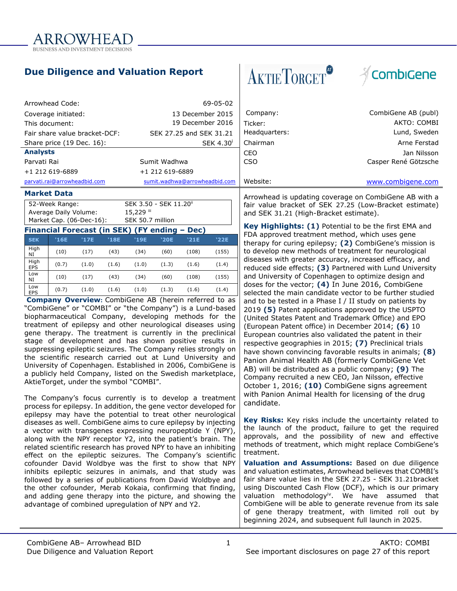

# **Due Diligence and Valuation Report**

| Arrowhead Code:               | 69-05-02                      |               |                      |
|-------------------------------|-------------------------------|---------------|----------------------|
| Coverage initiated:           | 13 December 2015              | Company:      | CombiGene AB (publ)  |
| This document:                | 19 December 2016              | Ticker:       | AKTO: COMBI          |
| Fair share value bracket-DCF: | SEK 27.25 and SEK 31.21       | Headquarters: | Lund, Sweden         |
| Share price (19 Dec. 16):     | SEK 4.30                      | Chairman      | Arne Ferstad         |
| <b>Analysts</b>               |                               | CEO           | Jan Nilsson          |
| Parvati Rai                   | Sumit Wadhwa                  | CSO           | Casper René Götzsche |
| +1 212 619-6889               | +1 212 619-6889               |               |                      |
| parvati.rai@arrowheadbid.com  | sumit.wadhwa@arrowheadbid.com | Website:      | www.combigene.com    |

#### **Market Data**

| 52-Week Range:           | SEK 3.50 - SEK 11.20 <sup>ii</sup> |
|--------------------------|------------------------------------|
| Average Daily Volume:    | 15,229 iii                         |
| Market Cap. (06-Dec-16): | SEK 50.7 million                   |

#### **Financial Forecast (in SEK) (FY ending – Dec)**

|                    |       |       |       |       |       | ---   |       |
|--------------------|-------|-------|-------|-------|-------|-------|-------|
| <b>SEK</b>         | '16E  | '17E  | '18E  | '19E  | '20E  | '21E  | '22E  |
| High<br>NI         | (10)  | (17)  | (43)  | (34)  | (60)  | (108) | (155) |
| High<br><b>EPS</b> | (0.7) | (1.0) | (1.6) | (1.0) | (1.3) | (1.6) | (1.4) |
| Low<br>NI          | (10)  | (17)  | (43)  | (34)  | (60)  | (108) | (155) |
| Low<br><b>EPS</b>  | (0.7) | (1.0) | (1.6) | (1.0) | (1.3) | (1.6) | (1.4) |

**Company Overview:** CombiGene AB (herein referred to as "CombiGene" or "COMBI" or "the Company") is a Lund-based biopharmaceutical Company, developing methods for the treatment of epilepsy and other neurological diseases using gene therapy. The treatment is currently in the preclinical stage of development and has shown positive results in suppressing epileptic seizures. The Company relies strongly on the scientific research carried out at Lund University and University of Copenhagen. Established in 2006, CombiGene is a publicly held Company, listed on the Swedish marketplace, AktieTorget, under the symbol "COMBI".

The Company's focus currently is to develop a treatment process for epilepsy. In addition, the gene vector developed for epilepsy may have the potential to treat other neurological diseases as well. CombiGene aims to cure epilepsy by injecting a vector with transgenes expressing neuropeptide Y (NPY), along with the NPY receptor Y2, into the patient's brain. The related scientific research has proved NPY to have an inhibiting effect on the epileptic seizures. The Company's scientific cofounder David Woldbye was the first to show that NPY inhibits epileptic seizures in animals, and that study was followed by a series of publications from David Woldbye and the other cofounder, Merab Kokaia, confirming that finding, and adding gene therapy into the picture, and showing the advantage of combined upregulation of NPY and Y2.

# **AKTIETORGET®**



Arrowhead is updating coverage on CombiGene AB with a fair value bracket of SEK 27.25 (Low-Bracket estimate) and SEK 31.21 (High-Bracket estimate).

**Key Highlights: (1)** Potential to be the first EMA and FDA approved treatment method, which uses gene therapy for curing epilepsy; **(2)** CombiGene's mission is to develop new methods of treatment for neurological diseases with greater accuracy, increased efficacy, and reduced side effects; **(3)** Partnered with Lund University and University of Copenhagen to optimize design and doses for the vector; **(4)** In June 2016, CombiGene selected the main candidate vector to be further studied and to be tested in a Phase I / II study on patients by 2019 **(5)** Patent applications approved by the USPTO (United States Patent and Trademark Office) and EPO (European Patent office) in December 2014; **(6)** 10 European countries also validated the patent in their respective geographies in 2015; **(7)** Preclinical trials have shown convincing favorable results in animals; **(8)** Panion Animal Health AB (formerly CombiGene Vet AB) will be distributed as a public company; **(9)** The Company recruited a new CEO, Jan Nilsson, effective October 1, 2016; **(10)** CombiGene signs agreement with Panion Animal Health for licensing of the drug candidate.

**Key Risks:** Key risks include the uncertainty related to the launch of the product, failure to get the required approvals, and the possibility of new and effective methods of treatment, which might replace CombiGene's treatment.

**Valuation and Assumptions:** Based on due diligence and valuation estimates, Arrowhead believes that COMBI's fair share value lies in the SEK 27.25 - SEK 31.21bracket using Discounted Cash Flow (DCF), which is our primary valuation methodology<sup>iv</sup>. We have assumed that CombiGene will be able to generate revenue from its sale of gene therapy treatment, with limited roll out by beginning 2024, and subsequent full launch in 2025.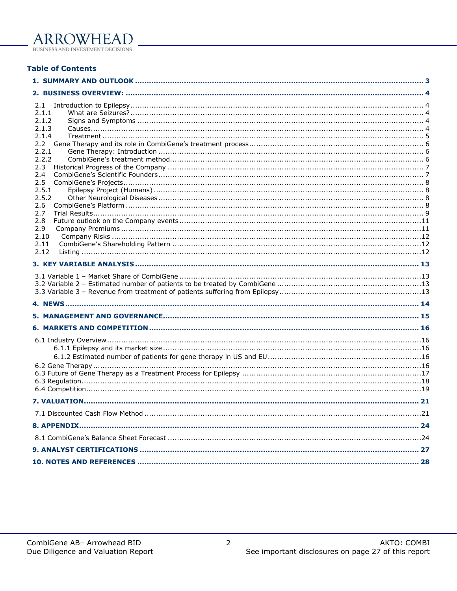### **Table of Contents**

| 2.1         |  |
|-------------|--|
| 2.1.1       |  |
| 2.1.2       |  |
| 2.1.3       |  |
| 2.1.4       |  |
| 2.2.1       |  |
| 2.2.2       |  |
| 2.3         |  |
| 2.4         |  |
| 2.5         |  |
| 2.5.1       |  |
| 2.5.2       |  |
| 2.6         |  |
| 2.7         |  |
| 2.8         |  |
| 2.9<br>2.10 |  |
| 2.11        |  |
| 2.12        |  |
|             |  |
|             |  |
|             |  |
|             |  |
|             |  |
|             |  |
|             |  |
|             |  |
|             |  |
|             |  |
|             |  |
|             |  |
|             |  |
|             |  |
|             |  |
|             |  |
|             |  |
|             |  |
|             |  |
|             |  |
|             |  |
|             |  |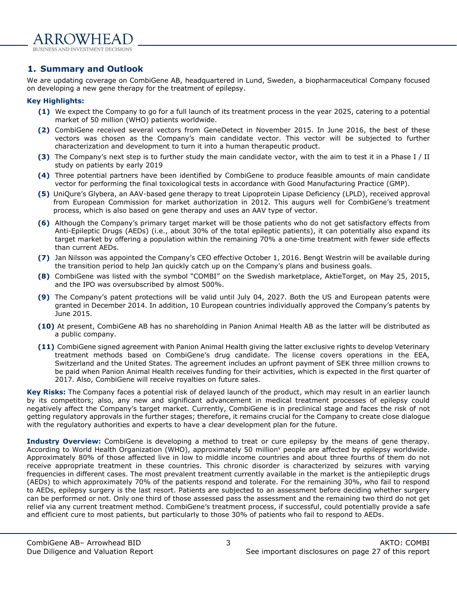

## <span id="page-2-0"></span>**1. Summary and Outlook**

We are updating coverage on CombiGene AB, headquartered in Lund, Sweden, a biopharmaceutical Company focused on developing a new gene therapy for the treatment of epilepsy.

#### **Key Highlights:**

- **(1)** We expect the Company to go for a full launch of its treatment process in the year 2025, catering to a potential market of 50 million (WHO) patients worldwide.
- **(2)** CombiGene received several vectors from GeneDetect in November 2015. In June 2016, the best of these vectors was chosen as the Company's main candidate vector. This vector will be subjected to further characterization and development to turn it into a human therapeutic product.
- **(3)** The Company's next step is to further study the main candidate vector, with the aim to test it in a Phase I / II study on patients by early 2019
- **(4)** Three potential partners have been identified by CombiGene to produce feasible amounts of main candidate vector for performing the final toxicological tests in accordance with Good Manufacturing Practice (GMP).
- **(5)** UniQure's Glybera, an AAV-based gene therapy to treat Lipoprotein Lipase Deficiency (LPLD), received approval from European Commission for market authorization in 2012. This augurs well for CombiGene's treatment process, which is also based on gene therapy and uses an AAV type of vector.
- **(6)** Although the Company's primary target market will be those patients who do not get satisfactory effects from Anti-Epileptic Drugs (AEDs) (i.e., about 30% of the total epileptic patients), it can potentially also expand its target market by offering a population within the remaining 70% a one-time treatment with fewer side effects than current AEDs.
- **(7)** Jan Nilsson was appointed the Company's CEO effective October 1, 2016. Bengt Westrin will be available during the transition period to help Jan quickly catch up on the Company's plans and business goals.
- **(8)** CombiGene was listed with the symbol "COMBI" on the Swedish marketplace, AktieTorget, on May 25, 2015, and the IPO was oversubscribed by almost 500%.
- **(9)** The Company's patent protections will be valid until July 04, 2027. Both the US and European patents were granted in December 2014. In addition, 10 European countries individually approved the Company's patents by June 2015.
- **(10)** At present, CombiGene AB has no shareholding in Panion Animal Health AB as the latter will be distributed as a public company.
- **(11)** CombiGene signed agreement with Panion Animal Health giving the latter exclusive rights to develop Veterinary treatment methods based on CombiGene's drug candidate. The license covers operations in the EEA, Switzerland and the United States. The agreement includes an upfront payment of SEK three million crowns to be paid when Panion Animal Health receives funding for their activities, which is expected in the first quarter of 2017. Also, CombiGene will receive royalties on future sales.

**Key Risks:** The Company faces a potential risk of delayed launch of the product, which may result in an earlier launch by its competitors; also, any new and significant advancement in medical treatment processes of epilepsy could negatively affect the Company's target market. Currently, CombiGene is in preclinical stage and faces the risk of not getting regulatory approvals in the further stages; therefore, it remains crucial for the Company to create close dialogue with the regulatory authorities and experts to have a clear development plan for the future.

**Industry Overview:** CombiGene is developing a method to treat or cure epilepsy by the means of gene therapy. According to World Health Organization (WHO), approximately 50 million<sup>y</sup> people are affected by epilepsy worldwide. Approximately 80% of those affected live in low to middle income countries and about three fourths of them do not receive appropriate treatment in these countries. This chronic disorder is characterized by seizures with varying frequencies in different cases. The most prevalent treatment currently available in the market is the antiepileptic drugs (AEDs) to which approximately 70% of the patients respond and tolerate. For the remaining 30%, who fail to respond to AEDs, epilepsy surgery is the last resort. Patients are subjected to an assessment before deciding whether surgery can be performed or not. Only one third of those assessed pass the assessment and the remaining two third do not get relief via any current treatment method. CombiGene's treatment process, if successful, could potentially provide a safe and efficient cure to most patients, but particularly to those 30% of patients who fail to respond to AEDs.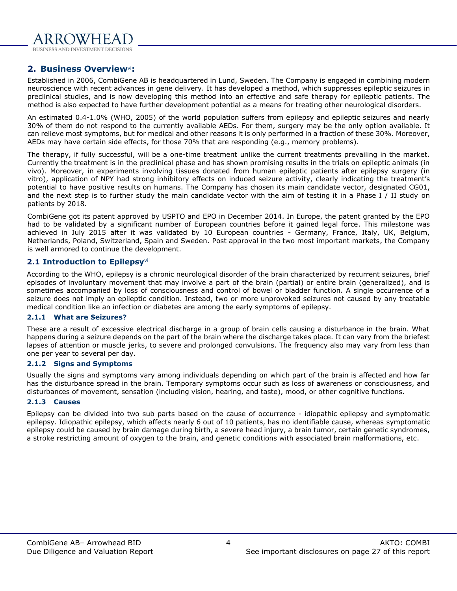

### <span id="page-3-0"></span>**2. Business Overview**vi**:**

Established in 2006, CombiGene AB is headquartered in Lund, Sweden. The Company is engaged in combining modern neuroscience with recent advances in gene delivery. It has developed a method, which suppresses epileptic seizures in preclinical studies, and is now developing this method into an effective and safe therapy for epileptic patients. The method is also expected to have further development potential as a means for treating other neurological disorders.

An estimated 0.4-1.0% (WHO, 2005) of the world population suffers from epilepsy and epileptic seizures and nearly 30% of them do not respond to the currently available AEDs. For them, surgery may be the only option available. It can relieve most symptoms, but for medical and other reasons it is only performed in a fraction of these 30%. Moreover, AEDs may have certain side effects, for those 70% that are responding (e.g., memory problems).

The therapy, if fully successful, will be a one-time treatment unlike the current treatments prevailing in the market. Currently the treatment is in the preclinical phase and has shown promising results in the trials on epileptic animals (in vivo). Moreover, in experiments involving tissues donated from human epileptic patients after epilepsy surgery (in vitro), application of NPY had strong inhibitory effects on induced seizure activity, clearly indicating the treatment's potential to have positive results on humans. The Company has chosen its main candidate vector, designated CG01, and the next step is to further study the main candidate vector with the aim of testing it in a Phase I / II study on patients by 2018.

CombiGene got its patent approved by USPTO and EPO in December 2014. In Europe, the patent granted by the EPO had to be validated by a significant number of European countries before it gained legal force. This milestone was achieved in July 2015 after it was validated by 10 European countries - Germany, France, Italy, UK, Belgium, Netherlands, Poland, Switzerland, Spain and Sweden. Post approval in the two most important markets, the Company is well armored to continue the development.

#### <span id="page-3-1"></span>**2.1 Introduction to Epilepsy**vii

According to the WHO, epilepsy is a chronic neurological disorder of the brain characterized by recurrent seizures, brief episodes of involuntary movement that may involve a part of the brain (partial) or entire brain (generalized), and is sometimes accompanied by loss of consciousness and control of bowel or bladder function. A single occurrence of a seizure does not imply an epileptic condition. Instead, two or more unprovoked seizures not caused by any treatable medical condition like an infection or diabetes are among the early symptoms of epilepsy.

#### <span id="page-3-2"></span>**2.1.1 What are Seizures?**

These are a result of excessive electrical discharge in a group of brain cells causing a disturbance in the brain. What happens during a seizure depends on the part of the brain where the discharge takes place. It can vary from the briefest lapses of attention or muscle jerks, to severe and prolonged convulsions. The frequency also may vary from less than one per year to several per day.

#### <span id="page-3-3"></span>**2.1.2 Signs and Symptoms**

Usually the signs and symptoms vary among individuals depending on which part of the brain is affected and how far has the disturbance spread in the brain. Temporary symptoms occur such as loss of awareness or consciousness, and disturbances of movement, sensation (including vision, hearing, and taste), mood, or other cognitive functions.

#### <span id="page-3-4"></span>**2.1.3 Causes**

Epilepsy can be divided into two sub parts based on the cause of occurrence - idiopathic epilepsy and symptomatic epilepsy. Idiopathic epilepsy, which affects nearly 6 out of 10 patients, has no identifiable cause, whereas symptomatic epilepsy could be caused by brain damage during birth, a severe head injury, a brain tumor, certain genetic syndromes, a stroke restricting amount of oxygen to the brain, and genetic conditions with associated brain malformations, etc.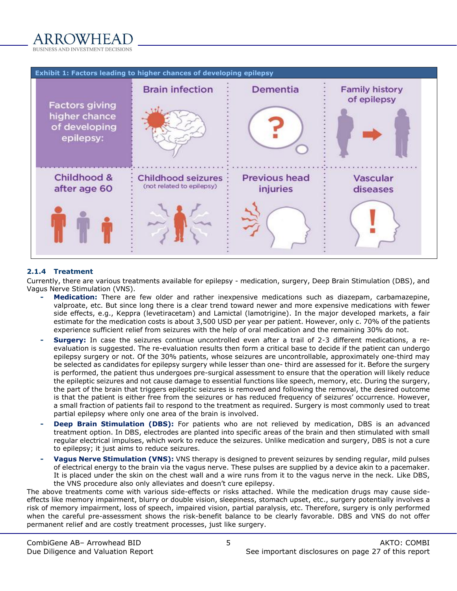

|                                                                      | Exhibit 1: Factors leading to higher chances of developing epilepsy |                                  |                                      |
|----------------------------------------------------------------------|---------------------------------------------------------------------|----------------------------------|--------------------------------------|
| <b>Factors giving</b><br>higher chance<br>of developing<br>epilepsy: | <b>Brain infection</b>                                              | <b>Dementia</b>                  | <b>Family history</b><br>of epilepsy |
| Childhood &<br>after age 60                                          | <b>Childhood seizures</b><br>(not related to epilepsy)              | <b>Previous head</b><br>injuries | Vascular<br>diseases                 |

#### <span id="page-4-0"></span>**2.1.4 Treatment**

Currently, there are various treatments available for epilepsy - medication, surgery, Deep Brain Stimulation (DBS), and Vagus Nerve Stimulation (VNS).

- **- Medication:** There are few older and rather inexpensive medications such as diazepam, carbamazepine, valproate, etc. But since long there is a clear trend toward newer and more expensive medications with fewer side effects, e.g., Keppra (levetiracetam) and Lamictal (lamotrigine). In the major developed markets, a fair estimate for the medication costs is about 3,500 USD per year per patient. However, only c. 70% of the patients experience sufficient relief from seizures with the help of oral medication and the remaining 30% do not.
- **- Surgery:** In case the seizures continue uncontrolled even after a trail of 2-3 different medications, a reevaluation is suggested. The re-evaluation results then form a critical base to decide if the patient can undergo epilepsy surgery or not. Of the 30% patients, whose seizures are uncontrollable, approximately one-third may be selected as candidates for epilepsy surgery while lesser than one- third are assessed for it. Before the surgery is performed, the patient thus undergoes pre-surgical assessment to ensure that the operation will likely reduce the epileptic seizures and not cause damage to essential functions like speech, memory, etc. During the surgery, the part of the brain that triggers epileptic seizures is removed and following the removal, the desired outcome is that the patient is either free from the seizures or has reduced frequency of seizures' occurrence. However, a small fraction of patients fail to respond to the treatment as required. Surgery is most commonly used to treat partial epilepsy where only one area of the brain is involved.
- **Deep Brain Stimulation (DBS):** For patients who are not relieved by medication, DBS is an advanced treatment option. In DBS, electrodes are planted into specific areas of the brain and then stimulated with small regular electrical impulses, which work to reduce the seizures. Unlike medication and surgery, DBS is not a cure to epilepsy; it just aims to reduce seizures.
- **- Vagus Nerve Stimulation (VNS):** VNS therapy is designed to prevent seizures by sending regular, mild pulses of electrical energy to the brain via the vagus nerve. These pulses are supplied by a device akin to a pacemaker. It is placed under the skin on the chest wall and a wire runs from it to the vagus nerve in the neck. Like DBS, the VNS procedure also only alleviates and doesn't cure epilepsy.

The above treatments come with various side-effects or risks attached. While the medication drugs may cause sideeffects like memory impairment, blurry or double vision, sleepiness, stomach upset, etc., surgery potentially involves a risk of memory impairment, loss of speech, impaired vision, partial paralysis, etc. Therefore, surgery is only performed when the careful pre-assessment shows the risk-benefit balance to be clearly favorable. DBS and VNS do not offer permanent relief and are costly treatment processes, just like surgery.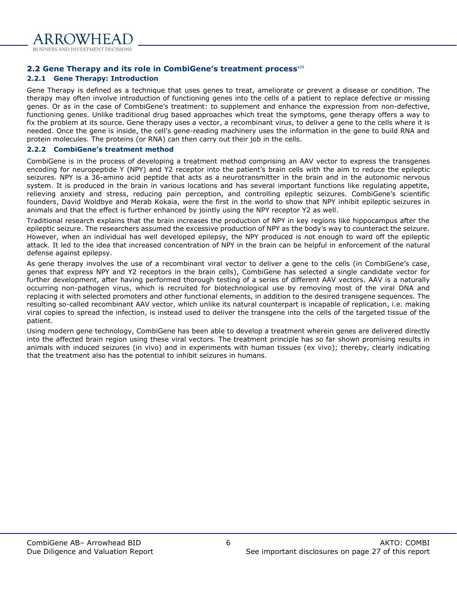

# <span id="page-5-0"></span>**2.2 Gene Therapy and its role in CombiGene's treatment process**viii

# <span id="page-5-1"></span>**2.2.1 Gene Therapy: Introduction**

Gene Therapy is defined as a technique that uses genes to treat, ameliorate or prevent a disease or condition. The therapy may often involve introduction of functioning genes into the cells of a patient to replace defective or missing genes. Or as in the case of CombiGene's treatment: to supplement and enhance the expression from non-defective, functioning genes. Unlike traditional drug based approaches which treat the symptoms, gene therapy offers a way to fix the problem at its source. Gene therapy uses a vector, a recombinant virus, to deliver a gene to the cells where it is needed. Once the gene is inside, the cell's gene-reading machinery uses the information in the gene to build RNA and protein molecules. The proteins (or RNA) can then carry out their job in the cells.

## <span id="page-5-2"></span>**2.2.2 CombiGene's treatment method**

CombiGene is in the process of developing a treatment method comprising an AAV vector to express the transgenes encoding for neuropeptide Y (NPY) and Y2 receptor into the patient's brain cells with the aim to reduce the epileptic seizures. NPY is a 36-amino acid peptide that acts as a neurotransmitter in the brain and in the autonomic nervous system. It is produced in the brain in various locations and has several important functions like regulating appetite, relieving anxiety and stress, reducing pain perception, and controlling epileptic seizures. CombiGene's scientific founders, David Woldbye and Merab Kokaia, were the first in the world to show that NPY inhibit epileptic seizures in animals and that the effect is further enhanced by jointly using the NPY receptor Y2 as well.

Traditional research explains that the brain increases the production of NPY in key regions like hippocampus after the epileptic seizure. The researchers assumed the excessive production of NPY as the body's way to counteract the seizure. However, when an individual has well developed epilepsy, the NPY produced is not enough to ward off the epileptic attack. It led to the idea that increased concentration of NPY in the brain can be helpful in enforcement of the natural defense against epilepsy.

As gene therapy involves the use of a recombinant viral vector to deliver a gene to the cells (in CombiGene's case, genes that express NPY and Y2 receptors in the brain cells), CombiGene has selected a single candidate vector for further development, after having performed thorough testing of a series of different AAV vectors. AAV is a naturally occurring non-pathogen virus, which is recruited for biotechnological use by removing most of the viral DNA and replacing it with selected promoters and other functional elements, in addition to the desired transgene sequences. The resulting so-called recombinant AAV vector, which unlike its natural counterpart is incapable of replication, i.e. making viral copies to spread the infection, is instead used to deliver the transgene into the cells of the targeted tissue of the patient.

Using modern gene technology, CombiGene has been able to develop a treatment wherein genes are delivered directly into the affected brain region using these viral vectors. The treatment principle has so far shown promising results in animals with induced seizures (in vivo) and in experiments with human tissues (ex vivo); thereby, clearly indicating that the treatment also has the potential to inhibit seizures in humans.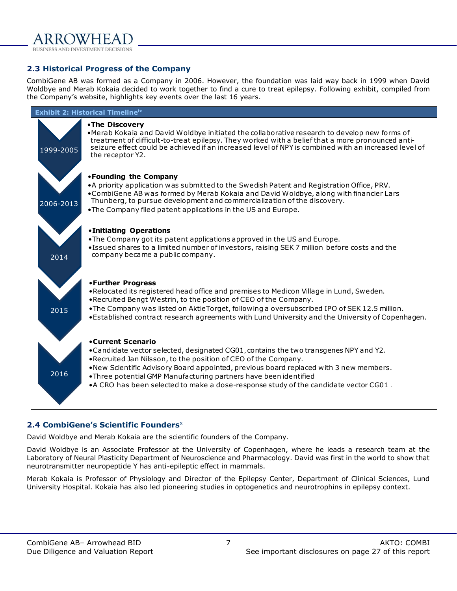

### <span id="page-6-0"></span>**2.3 Historical Progress of the Company**

CombiGene AB was formed as a Company in 2006. However, the foundation was laid way back in 1999 when David Woldbye and Merab Kokaia decided to work together to find a cure to treat epilepsy. Following exhibit, compiled from the Company's website, highlights key events over the last 16 years.



# <span id="page-6-1"></span>**2.4 CombiGene's Scientific Founders**<sup>x</sup>

David Woldbye and Merab Kokaia are the scientific founders of the Company.

David Woldbye is an Associate Professor at the University of Copenhagen, where he leads a research team at the Laboratory of Neural Plasticity Department of Neuroscience and Pharmacology. David was first in the world to show that neurotransmitter neuropeptide Y has anti-epileptic effect in mammals.

Merab Kokaia is Professor of Physiology and Director of the Epilepsy Center, Department of Clinical Sciences, Lund University Hospital. Kokaia has also led pioneering studies in optogenetics and neurotrophins in epilepsy context.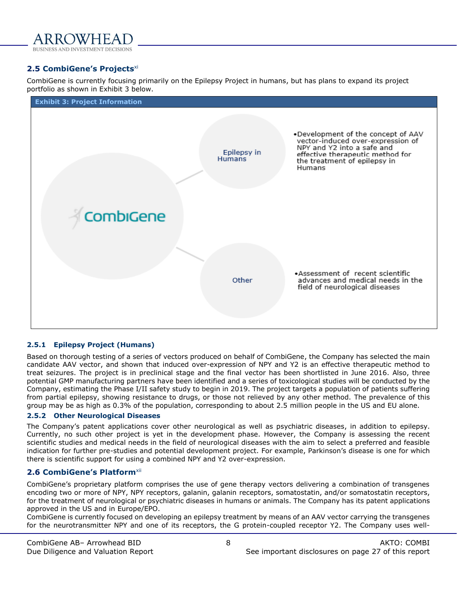

#### <span id="page-7-0"></span>**2.5 CombiGene's Projects**xi

CombiGene is currently focusing primarily on the Epilepsy Project in humans, but has plans to expand its project portfolio as shown in Exhibit 3 below.



#### <span id="page-7-1"></span>**2.5.1 Epilepsy Project (Humans)**

Based on thorough testing of a series of vectors produced on behalf of CombiGene, the Company has selected the main candidate AAV vector, and shown that induced over-expression of NPY and Y2 is an effective therapeutic method to treat seizures. The project is in preclinical stage and the final vector has been shortlisted in June 2016. Also, three potential GMP manufacturing partners have been identified and a series of toxicological studies will be conducted by the Company, estimating the Phase I/II safety study to begin in 2019. The project targets a population of patients suffering from partial epilepsy, showing resistance to drugs, or those not relieved by any other method. The prevalence of this group may be as high as 0.3% of the population, corresponding to about 2.5 million people in the US and EU alone.

#### <span id="page-7-2"></span>**2.5.2 Other Neurological Diseases**

The Company's patent applications cover other neurological as well as psychiatric diseases, in addition to epilepsy. Currently, no such other project is yet in the development phase. However, the Company is assessing the recent scientific studies and medical needs in the field of neurological diseases with the aim to select a preferred and feasible indication for further pre-studies and potential development project. For example, Parkinson's disease is one for which there is scientific support for using a combined NPY and Y2 over-expression.

#### <span id="page-7-3"></span>**2.6 CombiGene's Platform**xii

CombiGene's proprietary platform comprises the use of gene therapy vectors delivering a combination of transgenes encoding two or more of NPY, NPY receptors, galanin, galanin receptors, somatostatin, and/or somatostatin receptors, for the treatment of neurological or psychiatric diseases in humans or animals. The Company has its patent applications approved in the US and in Europe/EPO.

CombiGene is currently focused on developing an epilepsy treatment by means of an AAV vector carrying the transgenes for the neurotransmitter NPY and one of its receptors, the G protein-coupled receptor Y2. The Company uses well-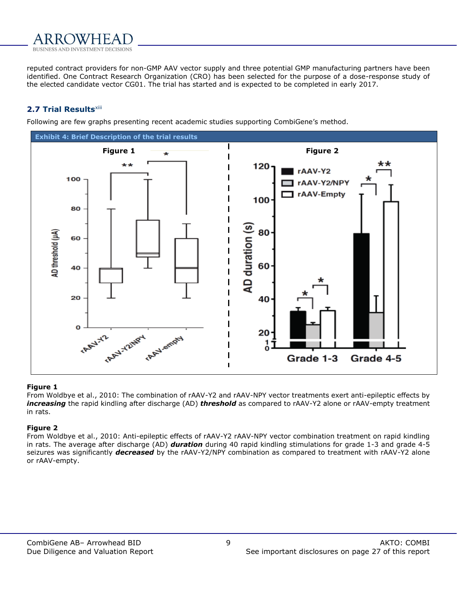

reputed contract providers for non-GMP AAV vector supply and three potential GMP manufacturing partners have been identified. One Contract Research Organization (CRO) has been selected for the purpose of a dose-response study of the elected candidate vector CG01. The trial has started and is expected to be completed in early 2017.

#### <span id="page-8-0"></span>**2.7 Trial Results**xiii

Following are few graphs presenting recent academic studies supporting CombiGene's method.



#### **Figure 1**

From Woldbye et al., 2010: The combination of rAAV-Y2 and rAAV-NPY vector treatments exert anti-epileptic effects by *increasing* the rapid kindling after discharge (AD) *threshold* as compared to rAAV-Y2 alone or rAAV-empty treatment in rats.

#### **Figure 2**

From Woldbye et al., 2010: Anti-epileptic effects of rAAV-Y2 rAAV-NPY vector combination treatment on rapid kindling in rats. The average after discharge (AD) *duration* during 40 rapid kindling stimulations for grade 1-3 and grade 4-5 seizures was significantly *decreased* by the rAAV-Y2/NPY combination as compared to treatment with rAAV-Y2 alone or rAAV-empty.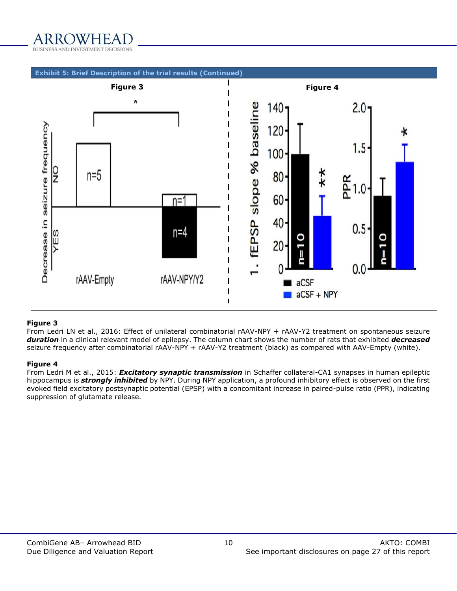



#### **Figure 3**

From Ledri LN et al., 2016: Effect of unilateral combinatorial rAAV-NPY + rAAV-Y2 treatment on spontaneous seizure *duration* in a clinical relevant model of epilepsy. The column chart shows the number of rats that exhibited *decreased* seizure frequency after combinatorial rAAV-NPY + rAAV-Y2 treatment (black) as compared with AAV-Empty (white).

#### **Figure 4**

From Ledri M et al., 2015: *Excitatory synaptic transmission* in Schaffer collateral-CA1 synapses in human epileptic hippocampus is *strongly inhibited* by NPY. During NPY application, a profound inhibitory effect is observed on the first evoked field excitatory postsynaptic potential (EPSP) with a concomitant increase in paired-pulse ratio (PPR), indicating suppression of glutamate release.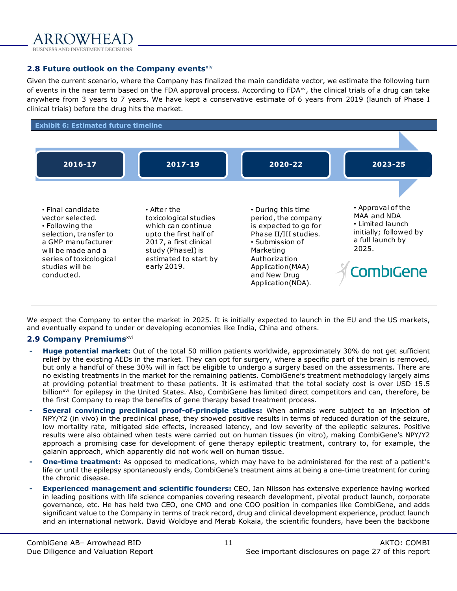#### <span id="page-10-0"></span>**2.8 Future outlook on the Company events**xiv

Given the current scenario, where the Company has finalized the main candidate vector, we estimate the following turn of events in the near term based on the FDA approval process. According to FDA<sup>xv</sup>, the clinical trials of a drug can take anywhere from 3 years to 7 years. We have kept a conservative estimate of 6 years from 2019 (launch of Phase I clinical trials) before the drug hits the market.



We expect the Company to enter the market in 2025. It is initially expected to launch in the EU and the US markets, and eventually expand to under or developing economies like India, China and others.

#### <span id="page-10-1"></span>**2.9 Company Premiums**xvi

- **- Huge potential market:** Out of the total 50 million patients worldwide, approximately 30% do not get sufficient relief by the existing AEDs in the market. They can opt for surgery, where a specific part of the brain is removed, but only a handful of these 30% will in fact be eligible to undergo a surgery based on the assessments. There are no existing treatments in the market for the remaining patients. CombiGene's treatment methodology largely aims at providing potential treatment to these patients. It is estimated that the total society cost is over USD 15.5 billion<sup>xvii</sup> for epilepsy in the United States. Also, CombiGene has limited direct competitors and can, therefore, be the first Company to reap the benefits of gene therapy based treatment process.
- **- Several convincing preclinical proof-of-principle studies:** When animals were subject to an injection of NPY/Y2 (in vivo) in the preclinical phase, they showed positive results in terms of reduced duration of the seizure, low mortality rate, mitigated side effects, increased latency, and low severity of the epileptic seizures. Positive results were also obtained when tests were carried out on human tissues (in vitro), making CombiGene's NPY/Y2 approach a promising case for development of gene therapy epileptic treatment, contrary to, for example, the galanin approach, which apparently did not work well on human tissue.
- **- One-time treatment:** As opposed to medications, which may have to be administered for the rest of a patient's life or until the epilepsy spontaneously ends, CombiGene's treatment aims at being a one-time treatment for curing the chronic disease.
- **- Experienced management and scientific founders:** CEO, Jan Nilsson has extensive experience having worked in leading positions with life science companies covering research development, pivotal product launch, corporate governance, etc. He has held two CEO, one CMO and one COO position in companies like CombiGene, and adds significant value to the Company in terms of track record, drug and clinical development experience, product launch and an international network. David Woldbye and Merab Kokaia, the scientific founders, have been the backbone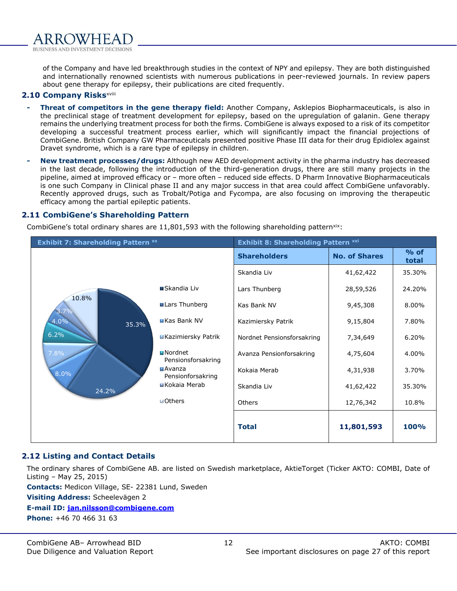

of the Company and have led breakthrough studies in the context of NPY and epilepsy. They are both distinguished and internationally renowned scientists with numerous publications in peer-reviewed journals. In review papers about gene therapy for epilepsy, their publications are cited frequently.

#### <span id="page-11-0"></span>**2.10 Company Risks**xviii

- **- Threat of competitors in the gene therapy field:** Another Company, Asklepios Biopharmaceuticals, is also in the preclinical stage of treatment development for epilepsy, based on the upregulation of galanin. Gene therapy remains the underlying treatment process for both the firms. CombiGene is always exposed to a risk of its competitor developing a successful treatment process earlier, which will significantly impact the financial projections of CombiGene. British Company GW Pharmaceuticals presented positive Phase III data for their drug Epidiolex against Dravet syndrome, which is a rare type of epilepsy in children.
- **- New treatment processes/drugs:** Although new AED development activity in the pharma industry has decreased in the last decade, following the introduction of the third-generation drugs, there are still many projects in the pipeline, aimed at improved efficacy or – more often – reduced side effects. D Pharm Innovative Biopharmaceuticals is one such Company in Clinical phase II and any major success in that area could affect CombiGene unfavorably. Recently approved drugs, such as Trobalt/Potiga and Fycompa, are also focusing on improving the therapeutic efficacy among the partial epileptic patients.

#### **2.11 CombiGene's Shareholding Pattern**

<span id="page-11-1"></span>CombiGene's total ordinary shares are  $11,801,593$  with the following shareholding pattern<sup>xix</sup>:

| <b>Exhibit 7: Shareholding Pattern xx</b> |                                      | <b>Exhibit 8: Shareholding Pattern xxi</b> |                      |                 |
|-------------------------------------------|--------------------------------------|--------------------------------------------|----------------------|-----------------|
|                                           |                                      | <b>Shareholders</b>                        | <b>No. of Shares</b> | $%$ of<br>total |
|                                           |                                      | Skandia Liv                                | 41,62,422            | 35.30%          |
|                                           | ■Skandia Liv                         | Lars Thunberg                              | 28,59,526            | 24.20%          |
| 10.8%<br>3.7%                             | Lars Thunberg                        | Kas Bank NV                                | 9,45,308             | 8.00%           |
| 4.0%<br>35.3%                             | <b>EKas Bank NV</b>                  | Kazimiersky Patrik                         | 9,15,804             | 7.80%           |
| 6.2%                                      | <b>EKazimiersky Patrik</b>           | Nordnet Pensionsforsakring                 | 7,34,649             | 6.20%           |
| 7.8%                                      | <b>Nordnet</b><br>Pensionsforsakring | Avanza Pensionforsakring                   | 4,75,604             | 4.00%           |
| 8.0%                                      | $M$ Avanza<br>Pensionforsakring      | Kokaia Merab                               | 4,31,938             | 3.70%           |
| 24.2%                                     | ■Kokaia Merab                        | Skandia Liv                                | 41,62,422            | 35.30%          |
|                                           | <b>MOthers</b>                       | Others                                     | 12,76,342            | 10.8%           |
|                                           |                                      | <b>Total</b>                               | 11,801,593           | <b>100%</b>     |

#### <span id="page-11-2"></span>**2.12 Listing and Contact Details**

The ordinary shares of CombiGene AB. are listed on Swedish marketplace, AktieTorget (Ticker AKTO: COMBI, Date of Listing – May 25, 2015)

**Contacts:** Medicon Village, SE- 22381 Lund, Sweden

**Visiting Address:** Scheelevägen 2

#### **E-mail ID: [jan.nilsson@combigene.com](mailto:jan.nilsson@combigene.com)**

**Phone:** +46 70 466 31 63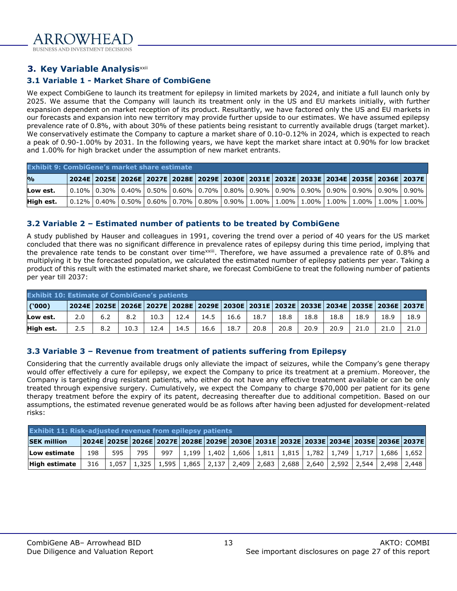

### <span id="page-12-0"></span>**3. Key Variable Analysis**<sup>xxii</sup>

#### <span id="page-12-1"></span>**3.1 Variable 1 - Market Share of CombiGene**

We expect CombiGene to launch its treatment for epilepsy in limited markets by 2024, and initiate a full launch only by 2025. We assume that the Company will launch its treatment only in the US and EU markets initially, with further expansion dependent on market reception of its product. Resultantly, we have factored only the US and EU markets in our forecasts and expansion into new territory may provide further upside to our estimates. We have assumed epilepsy prevalence rate of 0.8%, with about 30% of these patients being resistant to currently available drugs (target market). We conservatively estimate the Company to capture a market share of 0.10-0.12% in 2024, which is expected to reach a peak of 0.90-1.00% by 2031. In the following years, we have kept the market share intact at 0.90% for low bracket and 1.00% for high bracket under the assumption of new market entrants.

|                         | <b>Exhibit 9: CombiGene's market share estimate</b>                                                                                                                                                                    |  |  |  |  |  |  |  |  |  |  |  |  |
|-------------------------|------------------------------------------------------------------------------------------------------------------------------------------------------------------------------------------------------------------------|--|--|--|--|--|--|--|--|--|--|--|--|
| $\mathbf{O}/\mathbf{O}$ | 2024E   2025E   2026E   2027E   2028E   2029E   2030E   2031E   2032E   2033E   2034E   2035E   2036E   2037E                                                                                                          |  |  |  |  |  |  |  |  |  |  |  |  |
| Low est.                | 0.10%   0.30%   0.40%   0.50%   0.60%   0.70%   0.80%   0.90%   0.90%   0.90%   0.90%   0.90%   0.90%   0.90%                                                                                                          |  |  |  |  |  |  |  |  |  |  |  |  |
| High est.               | $\mid$ $0.12\%$ $\mid$ $0.40\%$ $\mid$ $0.50\%$ $\mid$ $0.60\%$ $\mid$ $0.70\%$ $\mid$ $0.80\%$ $\mid$ $0.90\%$ $\mid$ $1.00\%$ $\mid$ $1.00\%$ $\mid$ $1.00\%$ $\mid$ $1.00\%$ $\mid$ $1.00\%$ $\mid$ $1.00\%$ $\mid$ |  |  |  |  |  |  |  |  |  |  |  |  |

#### <span id="page-12-2"></span>**3.2 Variable 2 – Estimated number of patients to be treated by CombiGene**

A study published by Hauser and colleagues in 1991, covering the trend over a period of 40 years for the US market concluded that there was no significant difference in prevalence rates of epilepsy during this time period, implying that the prevalence rate tends to be constant over time<sup>xxiii</sup>. Therefore, we have assumed a prevalence rate of 0.8% and multiplying it by the forecasted population, we calculated the estimated number of epilepsy patients per year. Taking a product of this result with the estimated market share, we forecast CombiGene to treat the following number of patients per year till 2037:

| <b>Exhibit 10: Estimate of CombiGene's patients</b> |     |     |      |      |      |      |      |      |      |      |      |      |      |                                                                                                               |
|-----------------------------------------------------|-----|-----|------|------|------|------|------|------|------|------|------|------|------|---------------------------------------------------------------------------------------------------------------|
| (000)                                               |     |     |      |      |      |      |      |      |      |      |      |      |      | 2024E   2025E   2026E   2027E   2028E   2029E   2030E   2031E   2032E   2033E   2034E   2035E   2036E   2037E |
| Low est.                                            | 2.0 | 6.2 | 8.2  | 10.3 | 12.4 | 14.5 | 16.6 | 18.7 | 18.8 | 18.8 | 18.8 | 18.9 | 18.9 | 18.9                                                                                                          |
| High est.                                           | 2.5 | 8.2 | 10.3 | 12.4 | 14.5 | 16.6 | 18.7 | 20.8 | 20.8 | 20.9 | 20.9 | 21.0 | 21.0 | 21.0                                                                                                          |

#### <span id="page-12-3"></span>**3.3 Variable 3 – Revenue from treatment of patients suffering from Epilepsy**

Considering that the currently available drugs only alleviate the impact of seizures, while the Company's gene therapy would offer effectively a cure for epilepsy, we expect the Company to price its treatment at a premium. Moreover, the Company is targeting drug resistant patients, who either do not have any effective treatment available or can be only treated through expensive surgery. Cumulatively, we expect the Company to charge \$70,000 per patient for its gene therapy treatment before the expiry of its patent, decreasing thereafter due to additional competition. Based on our assumptions, the estimated revenue generated would be as follows after having been adjusted for development-related risks:

| Exhibit 11: Risk-adjusted revenue from epilepsy patients |                                                                                     |     |       |  |                                                                                                                                 |  |  |  |  |  |  |  |
|----------------------------------------------------------|-------------------------------------------------------------------------------------|-----|-------|--|---------------------------------------------------------------------------------------------------------------------------------|--|--|--|--|--|--|--|
| <b>SEK million</b>                                       | 2024E 2025E 2026E 2027E 2028E 2029E 2030E 2031E 2032E 2033E 2034E 2035E 2036E 2037E |     |       |  |                                                                                                                                 |  |  |  |  |  |  |  |
| Low estimate                                             | 198                                                                                 | 595 | - 795 |  | 997   1,199   1,402   1,606   1,811   1,815   1,782   1,749   1,717   1,686   1,652                                             |  |  |  |  |  |  |  |
| <b>High estimate</b>                                     | 316                                                                                 |     |       |  | $1,057$   $1,325$   $1,595$   $1,865$   $2,137$   $2,409$   $2,683$   $2,688$   $2,640$   $2,592$   $2,544$   $2,498$   $2,448$ |  |  |  |  |  |  |  |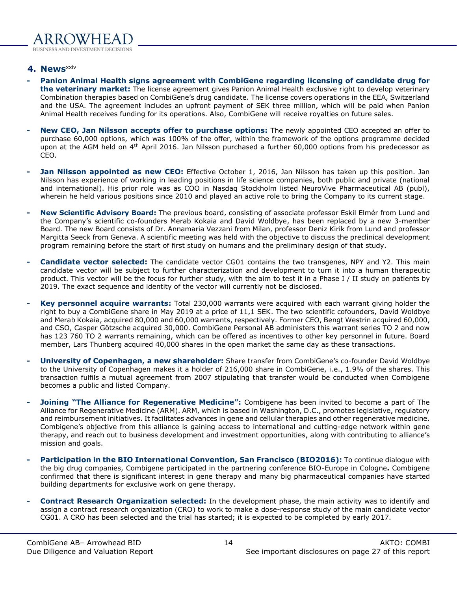#### <span id="page-13-0"></span>**4. News**xxiv

- **- Panion Animal Health signs agreement with CombiGene regarding licensing of candidate drug for the veterinary market:** The license agreement gives Panion Animal Health exclusive right to develop veterinary Combination therapies based on CombiGene's drug candidate. The license covers operations in the EEA, Switzerland and the USA. The agreement includes an upfront payment of SEK three million, which will be paid when Panion Animal Health receives funding for its operations. Also, CombiGene will receive royalties on future sales.
- **- New CEO, Jan Nilsson accepts offer to purchase options:** The newly appointed CEO accepted an offer to purchase 60,000 options, which was 100% of the offer, within the framework of the options programme decided upon at the AGM held on 4<sup>th</sup> April 2016. Jan Nilsson purchased a further 60,000 options from his predecessor as CEO.
- **- Jan Nilsson appointed as new CEO:** Effective October 1, 2016, Jan Nilsson has taken up this position. Jan Nilsson has experience of working in leading positions in life science companies, both public and private (national and international). His prior role was as COO in Nasdaq Stockholm listed NeuroVive Pharmaceutical AB (publ), wherein he held various positions since 2010 and played an active role to bring the Company to its current stage.
- **- New Scientific Advisory Board:** The previous board, consisting of associate professor Eskil Elmér from Lund and the Company's scientific co-founders Merab Kokaia and David Woldbye, has been replaced by a new 3-member Board. The new Board consists of Dr. Annamaria Vezzani from Milan, professor Deniz Kirik from Lund and professor Margitta Seeck from Geneva. A scientific meeting was held with the objective to discuss the preclinical development program remaining before the start of first study on humans and the preliminary design of that study.
- **- Candidate vector selected:** The candidate vector CG01 contains the two transgenes, NPY and Y2. This main candidate vector will be subject to further characterization and development to turn it into a human therapeutic product. This vector will be the focus for further study, with the aim to test it in a Phase I / II study on patients by 2019. The exact sequence and identity of the vector will currently not be disclosed.
- **- Key personnel acquire warrants:** Total 230,000 warrants were acquired with each warrant giving holder the right to buy a CombiGene share in May 2019 at a price of 11,1 SEK. The two scientific cofounders, David Woldbye and Merab Kokaia, acquired 80,000 and 60,000 warrants, respectively. Former CEO, Bengt Westrin acquired 60,000, and CSO, Casper Götzsche acquired 30,000. CombiGene Personal AB administers this warrant series TO 2 and now has 123 760 TO 2 warrants remaining, which can be offered as incentives to other key personnel in future. Board member, Lars Thunberg acquired 40,000 shares in the open market the same day as these transactions.
- **- University of Copenhagen, a new shareholder:** Share transfer from CombiGene's co-founder David Woldbye to the University of Copenhagen makes it a holder of 216,000 share in CombiGene, i.e., 1.9% of the shares. This transaction fulfils a mutual agreement from 2007 stipulating that transfer would be conducted when Combigene becomes a public and listed Company.
- **- Joining "The Alliance for Regenerative Medicine":** Combigene has been invited to become a part of The Alliance for Regenerative Medicine (ARM). ARM, which is based in Washington, D.C., promotes legislative, regulatory and reimbursement initiatives. It facilitates advances in gene and cellular therapies and other regenerative medicine. Combigene's objective from this alliance is gaining access to international and cutting-edge network within gene therapy, and reach out to business development and investment opportunities, along with contributing to alliance's mission and goals.
- **- Participation in the BIO International Convention, San Francisco (BIO2016):** To continue dialogue with the big drug companies, Combigene participated in the partnering conference BIO-Europe in Cologne**.** Combigene confirmed that there is significant interest in gene therapy and many big pharmaceutical companies have started building departments for exclusive work on gene therapy.
- **- Contract Research Organization selected:** In the development phase, the main activity was to identify and assign a contract research organization (CRO) to work to make a dose-response study of the main candidate vector CG01. A CRO has been selected and the trial has started; it is expected to be completed by early 2017.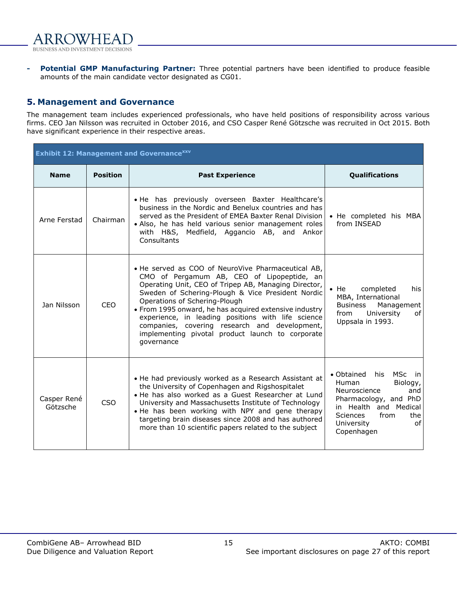

**- Potential GMP Manufacturing Partner:** Three potential partners have been identified to produce feasible amounts of the main candidate vector designated as CG01.

# <span id="page-14-0"></span>**5. Management and Governance**

The management team includes experienced professionals, who have held positions of responsibility across various firms. CEO Jan Nilsson was recruited in October 2016, and CSO Casper René Götzsche was recruited in Oct 2015. Both have significant experience in their respective areas.

| <b>Exhibit 12: Management and Governance XXV</b> |                 |                                                                                                                                                                                                                                                                                                                                                                                                                                                                                   |                                                                                                                                                                                                    |  |  |  |  |  |
|--------------------------------------------------|-----------------|-----------------------------------------------------------------------------------------------------------------------------------------------------------------------------------------------------------------------------------------------------------------------------------------------------------------------------------------------------------------------------------------------------------------------------------------------------------------------------------|----------------------------------------------------------------------------------------------------------------------------------------------------------------------------------------------------|--|--|--|--|--|
| <b>Name</b>                                      | <b>Position</b> | <b>Past Experience</b>                                                                                                                                                                                                                                                                                                                                                                                                                                                            | Qualifications                                                                                                                                                                                     |  |  |  |  |  |
| Arne Ferstad                                     | Chairman        | . He has previously overseen Baxter Healthcare's<br>business in the Nordic and Benelux countries and has<br>served as the President of EMEA Baxter Renal Division<br>• Also, he has held various senior management roles<br>with H&S, Medfield, Aggancio AB, and Ankor<br>Consultants                                                                                                                                                                                             | • He completed his MBA<br>from INSEAD                                                                                                                                                              |  |  |  |  |  |
| Jan Nilsson                                      | <b>CEO</b>      | • He served as COO of NeuroVive Pharmaceutical AB.<br>CMO of Pergamum AB, CEO of Lipopeptide, an<br>Operating Unit, CEO of Tripep AB, Managing Director,<br>Sweden of Schering-Plough & Vice President Nordic<br>Operations of Schering-Plough<br>• From 1995 onward, he has acquired extensive industry<br>experience, in leading positions with life science<br>companies, covering research and development,<br>implementing pivotal product launch to corporate<br>governance | $\bullet$ He<br>completed<br>his.<br>MBA, International<br><b>Business</b><br>Management<br>from<br>University<br>of<br>Uppsala in 1993.                                                           |  |  |  |  |  |
| Casper René<br>Götzsche                          | CSO             | • He had previously worked as a Research Assistant at<br>the University of Copenhagen and Rigshospitalet<br>• He has also worked as a Guest Researcher at Lund<br>University and Massachusetts Institute of Technology<br>. He has been working with NPY and gene therapy<br>targeting brain diseases since 2008 and has authored<br>more than 10 scientific papers related to the subject                                                                                        | <b>MSc</b><br>• Obtained<br>his<br>in i<br>Human<br>Biology,<br>Neuroscience<br>and<br>Pharmacology, and PhD<br>in Health and Medical<br>Sciences<br>from<br>the<br>University<br>οf<br>Copenhagen |  |  |  |  |  |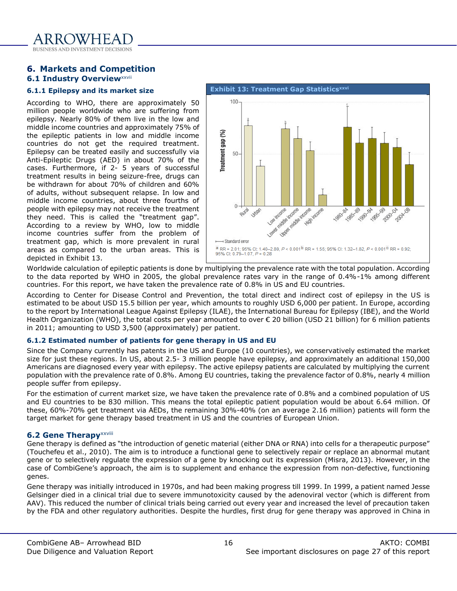#### <span id="page-15-1"></span><span id="page-15-0"></span>**6. Markets and Competition 6.1 Industry Overview XXVII**

#### <span id="page-15-2"></span>**6.1.1 Epilepsy and its market size**

According to WHO, there are approximately 50 million people worldwide who are suffering from epilepsy. Nearly 80% of them live in the low and middle income countries and approximately 75% of the epileptic patients in low and middle income countries do not get the required treatment. Epilepsy can be treated easily and successfully via Anti-Epileptic Drugs (AED) in about 70% of the cases. Furthermore, if 2- 5 years of successful treatment results in being seizure-free, drugs can be withdrawn for about 70% of children and 60% of adults, without subsequent relapse. In low and middle income countries, about three fourths of people with epilepsy may not receive the treatment they need. This is called the "treatment gap". According to a review by WHO, low to middle income countries suffer from the problem of treatment gap, which is more prevalent in rural areas as compared to the urban areas. This is depicted in [Exhibit 13.](#page-15-5)

<span id="page-15-5"></span>

Worldwide calculation of epileptic patients is done by multiplying the prevalence rate with the total population. According to the data reported by WHO in 2005, the global prevalence rates vary in the range of 0.4%-1% among different countries. For this report, we have taken the prevalence rate of 0.8% in US and EU countries.

According to Center for Disease Control and Prevention, the total direct and indirect cost of epilepsy in the US is estimated to be about USD 15.5 billion per year, which amounts to roughly USD 6,000 per patient. In Europe, according to the report by International League Against Epilepsy (ILAE), the International Bureau for Epilepsy (IBE), and the World Health Organization (WHO), the total costs per year amounted to over € 20 billion (USD 21 billion) for 6 million patients in 2011; amounting to USD 3,500 (approximately) per patient.

#### <span id="page-15-3"></span>**6.1.2 Estimated number of patients for gene therapy in US and EU**

Since the Company currently has patents in the US and Europe (10 countries), we conservatively estimated the market size for just these regions. In US, about 2.5- 3 million people have epilepsy, and approximately an additional 150,000 Americans are diagnosed every year with epilepsy. The active epilepsy patients are calculated by multiplying the current population with the prevalence rate of 0.8%. Among EU countries, taking the prevalence factor of 0.8%, nearly 4 million people suffer from epilepsy.

For the estimation of current market size, we have taken the prevalence rate of 0.8% and a combined population of US and EU countries to be 830 million. This means the total epileptic patient population would be about 6.64 million. Of these, 60%-70% get treatment via AEDs, the remaining 30%-40% (on an average 2.16 million) patients will form the target market for gene therapy based treatment in US and the countries of European Union.

#### <span id="page-15-4"></span>**6.2 Gene Therapy**xxviii

Gene therapy is defined as "the introduction of genetic material (either DNA or RNA) into cells for a therapeutic purpose" (Touchefeu et al., 2010). The aim is to introduce a functional gene to selectively repair or replace an abnormal mutant gene or to selectively regulate the expression of a gene by knocking out its expression (Misra, 2013). However, in the case of CombiGene's approach, the aim is to supplement and enhance the expression from non-defective, functioning genes.

Gene therapy was initially introduced in 1970s, and had been making progress till 1999. In 1999, a patient named Jesse Gelsinger died in a clinical trial due to severe immunotoxicity caused by the adenoviral vector (which is different from AAV). This reduced the number of clinical trials being carried out every year and increased the level of precaution taken by the FDA and other regulatory authorities. Despite the hurdles, first drug for gene therapy was approved in China in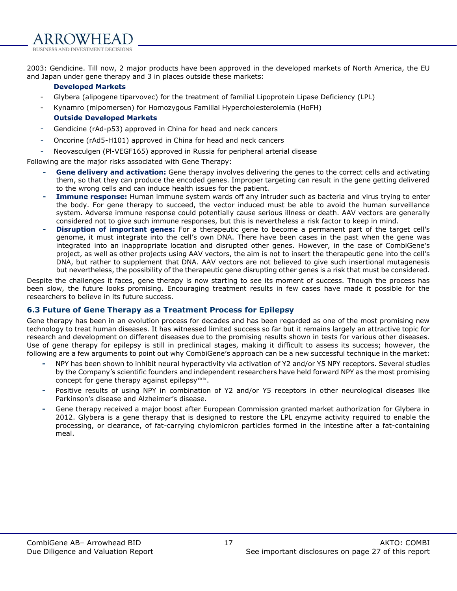2003: Gendicine. Till now, 2 major products have been approved in the developed markets of North America, the EU and Japan under gene therapy and 3 in places outside these markets:

#### **Developed Markets**

- Glybera (alipogene tiparvovec) for the treatment of familial Lipoprotein Lipase Deficiency (LPL)
- Kynamro (mipomersen) for Homozygous Familial Hypercholesterolemia (HoFH)

# **Outside Developed Markets**

- Gendicine (rAd-p53) approved in China for head and neck cancers
- Oncorine (rAd5-H101) approved in China for head and neck cancers
- Neovasculgen (Pl-VEGF165) approved in Russia for peripheral arterial disease

Following are the major risks associated with Gene Therapy:

- **- Gene delivery and activation:** Gene therapy involves delivering the genes to the correct cells and activating them, so that they can produce the encoded genes. Improper targeting can result in the gene getting delivered to the wrong cells and can induce health issues for the patient.
- **- Immune response:** Human immune system wards off any intruder such as bacteria and virus trying to enter the body. For gene therapy to succeed, the vector induced must be able to avoid the human surveillance system. Adverse immune response could potentially cause serious illness or death. AAV vectors are generally considered not to give such immune responses, but this is nevertheless a risk factor to keep in mind.
- **- Disruption of important genes:** For a therapeutic gene to become a permanent part of the target cell's genome, it must integrate into the cell's own DNA. There have been cases in the past when the gene was integrated into an inappropriate location and disrupted other genes. However, in the case of CombiGene's project, as well as other projects using AAV vectors, the aim is not to insert the therapeutic gene into the cell's DNA, but rather to supplement that DNA. AAV vectors are not believed to give such insertional mutagenesis but nevertheless, the possibility of the therapeutic gene disrupting other genes is a risk that must be considered.

Despite the challenges it faces, gene therapy is now starting to see its moment of success. Though the process has been slow, the future looks promising. Encouraging treatment results in few cases have made it possible for the researchers to believe in its future success.

### <span id="page-16-0"></span>**6.3 Future of Gene Therapy as a Treatment Process for Epilepsy**

Gene therapy has been in an evolution process for decades and has been regarded as one of the most promising new technology to treat human diseases. It has witnessed limited success so far but it remains largely an attractive topic for research and development on different diseases due to the promising results shown in tests for various other diseases. Use of gene therapy for epilepsy is still in preclinical stages, making it difficult to assess its success; however, the following are a few arguments to point out why CombiGene's approach can be a new successful technique in the market:

- **-** NPY has been shown to inhibit neural hyperactivity via activation of Y2 and/or Y5 NPY receptors. Several studies by the Company's scientific founders and independent researchers have held forward NPY as the most promising concept for gene therapy against epilepsy<sup>xxix</sup>.
- **-** Positive results of using NPY in combination of Y2 and/or Y5 receptors in other neurological diseases like Parkinson's disease and Alzheimer's disease.
- **-** Gene therapy received a major boost after European Commission granted market authorization for Glybera in 2012. Glybera is a gene therapy that is designed to restore the LPL enzyme activity required to enable the processing, or clearance, of fat-carrying chylomicron particles formed in the intestine after a fat-containing meal.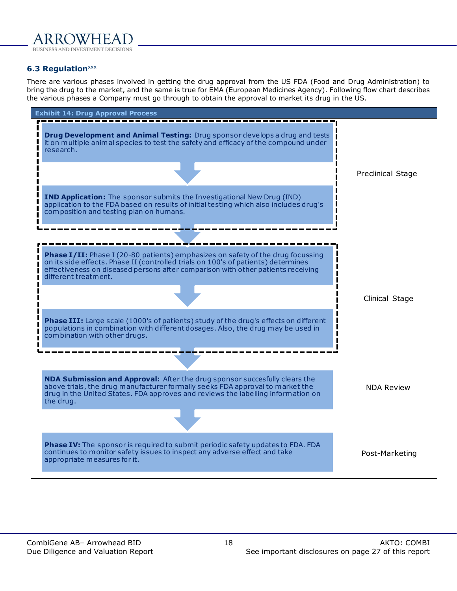

#### <span id="page-17-0"></span>**6.3 Regulation**<sup>xxx</sup>

There are various phases involved in getting the drug approval from the US FDA (Food and Drug Administration) to bring the drug to the market, and the same is true for EMA (European Medicines Agency). Following flow chart describes the various phases a Company must go through to obtain the approval to market its drug in the US.

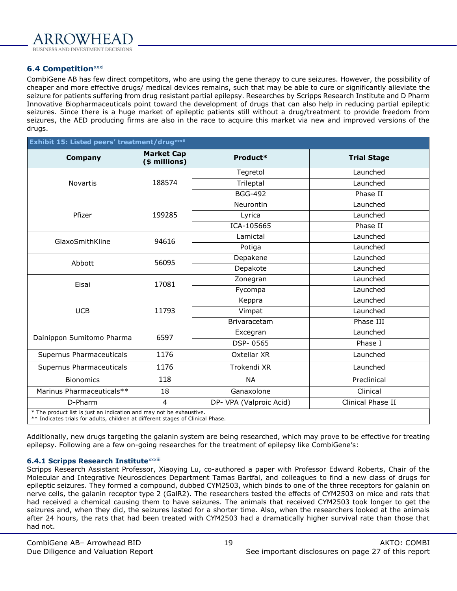

#### <span id="page-18-0"></span>**6.4 Competition**xxxi

CombiGene AB has few direct competitors, who are using the gene therapy to cure seizures. However, the possibility of cheaper and more effective drugs/ medical devices remains, such that may be able to cure or significantly alleviate the seizure for patients suffering from drug resistant partial epilepsy. Researches by Scripps Research Institute and D Pharm Innovative Biopharmaceuticals point toward the development of drugs that can also help in reducing partial epileptic seizures. Since there is a huge market of epileptic patients still without a drug/treatment to provide freedom from seizures, the AED producing firms are also in the race to acquire this market via new and improved versions of the drugs.

| Exhibit 15: Listed peers' treatment/drugxxxii                                                                                                          |                                    |                         |                    |  |  |
|--------------------------------------------------------------------------------------------------------------------------------------------------------|------------------------------------|-------------------------|--------------------|--|--|
| <b>Company</b>                                                                                                                                         | <b>Market Cap</b><br>(\$ millions) | Product*                | <b>Trial Stage</b> |  |  |
|                                                                                                                                                        |                                    | Tegretol                | Launched           |  |  |
| <b>Novartis</b>                                                                                                                                        | 188574                             | Trileptal               | Launched           |  |  |
|                                                                                                                                                        |                                    | <b>BGG-492</b>          | Phase II           |  |  |
|                                                                                                                                                        |                                    | Neurontin               | Launched           |  |  |
| Pfizer                                                                                                                                                 | 199285                             | Lyrica                  | Launched           |  |  |
|                                                                                                                                                        |                                    | ICA-105665              | Phase II           |  |  |
| GlaxoSmithKline                                                                                                                                        | 94616                              | Lamictal                | Launched           |  |  |
|                                                                                                                                                        |                                    | Potiga                  | Launched           |  |  |
| Abbott                                                                                                                                                 | 56095                              | Depakene                | Launched           |  |  |
|                                                                                                                                                        |                                    | Depakote                | Launched           |  |  |
| Eisai                                                                                                                                                  | 17081                              | Zonegran                | Launched           |  |  |
|                                                                                                                                                        |                                    | Fycompa                 | Launched           |  |  |
|                                                                                                                                                        |                                    | Keppra                  | Launched           |  |  |
| <b>UCB</b>                                                                                                                                             | 11793                              | Vimpat                  | Launched           |  |  |
|                                                                                                                                                        |                                    | Brivaracetam            | Phase III          |  |  |
| Dainippon Sumitomo Pharma                                                                                                                              | 6597                               | Excegran                | Launched           |  |  |
|                                                                                                                                                        |                                    | DSP-0565                | Phase I            |  |  |
| Supernus Pharmaceuticals                                                                                                                               | 1176                               | Oxtellar XR             | Launched           |  |  |
| Supernus Pharmaceuticals                                                                                                                               | 1176                               | Trokendi XR             | Launched           |  |  |
| <b>Bionomics</b>                                                                                                                                       | 118                                | <b>NA</b>               | Preclinical        |  |  |
| Marinus Pharmaceuticals**                                                                                                                              | 18                                 | Ganaxolone              | Clinical           |  |  |
| D-Pharm                                                                                                                                                | $\overline{4}$                     | DP- VPA (Valproic Acid) | Clinical Phase II  |  |  |
| * The product list is just an indication and may not be exhaustive.<br>** Indicates trials for adults, children at different stages of Clinical Phase. |                                    |                         |                    |  |  |

Additionally, new drugs targeting the galanin system are being researched, which may prove to be effective for treating epilepsy. Following are a few on-going researches for the treatment of epilepsy like CombiGene's:

#### **6.4.1 [Scripps Research Institute](http://www.scripps.edu/)**xxxiii

Scripps Research Assistant Professor, Xiaoying Lu, co-authored a paper with Professor Edward Roberts, Chair of the Molecular and Integrative Neurosciences Department Tamas Bartfai, and colleagues to find a new class of drugs for epileptic seizures. They formed a compound, dubbed CYM2503, which binds to one of the three receptors for galanin on nerve cells, the galanin receptor type 2 (GalR2). The researchers tested the effects of CYM2503 on mice and rats that had received a chemical causing them to have seizures. The animals that received CYM2503 took longer to get the seizures and, when they did, the seizures lasted for a shorter time. Also, when the researchers looked at the animals after 24 hours, the rats that had been treated with CYM2503 had a dramatically higher survival rate than those that had not.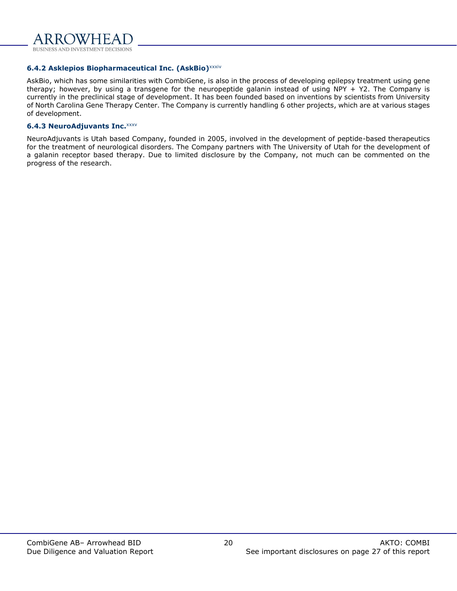

#### **6.4.2 Asklepios Biopharmaceutical Inc. (AskBio)**xxxiv

AskBio, which has some similarities with CombiGene, is also in the process of developing epilepsy treatment using gene therapy; however, by using a transgene for the neuropeptide galanin instead of using NPY + Y2. The Company is currently in the preclinical stage of development. It has been founded based on inventions by scientists from University of North Carolina Gene Therapy Center. The Company is currently handling 6 other projects, which are at various stages of development.

#### **6.4.3 NeuroAdjuvants Inc.**xxxv

NeuroAdjuvants is Utah based Company, founded in 2005, involved in the development of peptide-based therapeutics for the treatment of neurological disorders. The Company partners with The University of Utah for the development of a galanin receptor based therapy. Due to limited disclosure by the Company, not much can be commented on the progress of the research.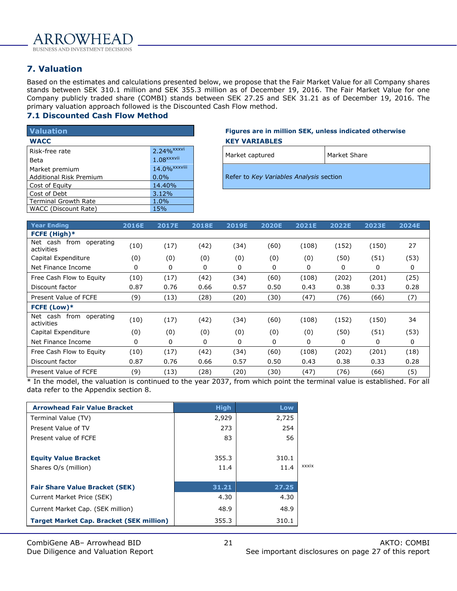

# <span id="page-20-0"></span>**7. Valuation**

Based on the estimates and calculations presented below, we propose that the Fair Market Value for all Company shares stands between SEK 310.1 million and SEK 355.3 million as of December 19, 2016. The Fair Market Value for one Company publicly traded share (COMBI) stands between SEK 27.25 and SEK 31.21 as of December 19, 2016. The primary valuation approach followed is the Discounted Cash Flow method.

#### <span id="page-20-1"></span>**7.1 Discounted Cash Flow Method**

| <b>Valuation</b>               |                          | Figures are in million SEK, unless in   |
|--------------------------------|--------------------------|-----------------------------------------|
| <b>WACC</b>                    |                          | <b>KEY VARIABLES</b>                    |
| Risk-free rate                 | $2.24%$ <sup>xxxvi</sup> | Mark<br>Market captured                 |
| <b>Beta</b>                    | $1.08$ <sup>xxxvii</sup> |                                         |
| Market premium                 | 14.0% <sup>xxxviii</sup> |                                         |
| <b>Additional Risk Premium</b> | $0.0\%$                  | Refer to Key Variables Analysis section |
| Cost of Equity                 | 14.40%                   |                                         |
| Cost of Debt                   | 3.12%                    |                                         |
| <b>Terminal Growth Rate</b>    | 1.0%                     |                                         |
| WACC (Discount Rate)           | <b>15%</b>               |                                         |

#### **Valuation Figures are in million SEK, unless indicated otherwise WACC KEY VARIABLES**

| Market captured                         | Market Share |
|-----------------------------------------|--------------|
| Refer to Key Variables Analysis section |              |

| <b>Year Ending</b>                          | 2016E | <b>2017E</b> | <b>2018E</b> | <b>2019E</b> | <b>2020E</b> | 2021E | 2022E | 2023E | 2024E |
|---------------------------------------------|-------|--------------|--------------|--------------|--------------|-------|-------|-------|-------|
| FCFE (High)*                                |       |              |              |              |              |       |       |       |       |
| from<br>Net cash<br>operating<br>activities | (10)  | (17)         | (42)         | (34)         | (60)         | (108) | (152) | (150) | 27    |
| Capital Expenditure                         | (0)   | (0)          | (0)          | (0)          | (0)          | (0)   | (50)  | (51)  | (53)  |
| Net Finance Income                          | 0     | 0            | 0            | 0            | 0            | 0     | 0     | 0     | 0     |
| Free Cash Flow to Equity                    | (10)  | (17)         | (42)         | (34)         | (60)         | (108) | (202) | (201) | (25)  |
| Discount factor                             | 0.87  | 0.76         | 0.66         | 0.57         | 0.50         | 0.43  | 0.38  | 0.33  | 0.28  |
| Present Value of FCFE                       | (9)   | (13)         | (28)         | (20)         | (30)         | (47)  | (76)  | (66)  | (7)   |
| FCFE (Low)*                                 |       |              |              |              |              |       |       |       |       |
| Net cash from<br>operating<br>activities    | (10)  | (17)         | (42)         | (34)         | (60)         | (108) | (152) | (150) | 34    |
| Capital Expenditure                         | (0)   | (0)          | (0)          | (0)          | (0)          | (0)   | (50)  | (51)  | (53)  |
| Net Finance Income                          | 0     | 0            | 0            | 0            | 0            | 0     | 0     | 0     | 0     |
| Free Cash Flow to Equity                    | (10)  | (17)         | (42)         | (34)         | (60)         | (108) | (202) | (201) | (18)  |
| Discount factor                             | 0.87  | 0.76         | 0.66         | 0.57         | 0.50         | 0.43  | 0.38  | 0.33  | 0.28  |
| Present Value of FCFE                       | (9)   | (13)         | (28)         | (20)         | (30)         | (47)  | (76)  | (66)  | (5)   |

\* In the model, the valuation is continued to the year 2037, from which point the terminal value is established. For all data refer to the Appendix section 8.

| <b>Arrowhead Fair Value Bracket</b>             | <b>High</b> | Low   |       |
|-------------------------------------------------|-------------|-------|-------|
| Terminal Value (TV)                             | 2,929       | 2,725 |       |
| Present Value of TV                             | 273         | 254   |       |
| Present value of FCFE                           | 83          | 56    |       |
|                                                 |             |       |       |
| <b>Equity Value Bracket</b>                     | 355.3       | 310.1 |       |
| Shares O/s (million)                            | 11.4        | 11.4  | xxxix |
|                                                 |             |       |       |
| <b>Fair Share Value Bracket (SEK)</b>           | 31.21       | 27.25 |       |
| Current Market Price (SEK)                      | 4.30        | 4.30  |       |
| Current Market Cap. (SEK million)               | 48.9        | 48.9  |       |
| <b>Target Market Cap. Bracket (SEK million)</b> | 355.3       | 310.1 |       |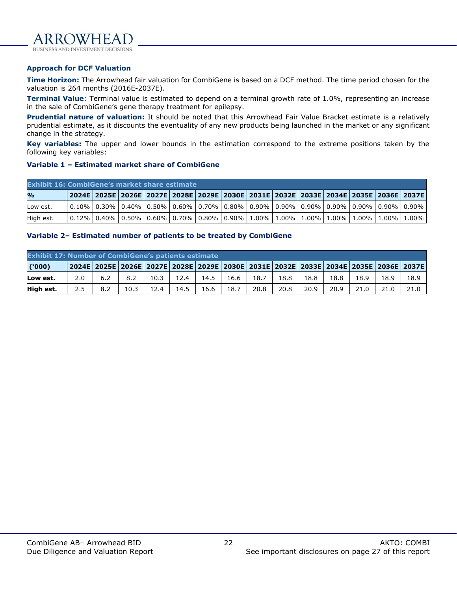

**BUSINESS AND INVEST** 

#### **Approach for DCF Valuation**

**Time Horizon:** The Arrowhead fair valuation for CombiGene is based on a DCF method. The time period chosen for the valuation is 264 months (2016E-2037E).

**Terminal Value**: Terminal value is estimated to depend on a terminal growth rate of 1.0%, representing an increase in the sale of CombiGene's gene therapy treatment for epilepsy.

**Prudential nature of valuation:** It should be noted that this Arrowhead Fair Value Bracket estimate is a relatively prudential estimate, as it discounts the eventuality of any new products being launched in the market or any significant change in the strategy.

**Key variables:** The upper and lower bounds in the estimation correspond to the extreme positions taken by the following key variables:

#### **Variable 1 – Estimated market share of CombiGene**

| <b>Exhibit 16: CombiGene's market share estimate</b> |  |  |                                                                                                               |  |  |  |  |  |  |  |  |  |  |  |
|------------------------------------------------------|--|--|---------------------------------------------------------------------------------------------------------------|--|--|--|--|--|--|--|--|--|--|--|
| $\mathbf{p}_{\mathbf{0}}$                            |  |  | 2024E   2025E   2026E   2027E   2028E   2029E   2030E   2031E   2032E   2033E   2034E   2035E   2036E   2037E |  |  |  |  |  |  |  |  |  |  |  |
| Low est.                                             |  |  | 0.10%   0.30%   0.40%   0.50%   0.60%   0.70%   0.80%   0.90%   0.90%   0.90%   0.90%   0.90%   0.90%   0.90% |  |  |  |  |  |  |  |  |  |  |  |
| High est.                                            |  |  | 0.12%   0.40%   0.50%   0.60%   0.70%   0.80%   0.90%   1.00%   1.00%   1.00%   1.00%   1.00%   1.00%   1.00% |  |  |  |  |  |  |  |  |  |  |  |

#### **Variable 2– Estimated number of patients to be treated by CombiGene**

|           | <b>Exhibit 17: Number of CombiGene's patients estimate</b> |     |      |      |        |      |             |                                                                                                               |      |      |      |      |      |      |
|-----------|------------------------------------------------------------|-----|------|------|--------|------|-------------|---------------------------------------------------------------------------------------------------------------|------|------|------|------|------|------|
| (000)     |                                                            |     |      |      |        |      |             | 2024E   2025E   2026E   2027E   2028E   2029E   2030E   2031E   2032E   2033E   2034E   2035E   2036E   2037E |      |      |      |      |      |      |
| Low est.  | 2.0                                                        | 6.2 | 8.2  | 10.3 | 12.4   |      | 14.5   16.6 | 18.7                                                                                                          | 18.8 | 18.8 | 18.8 | 18.9 | 18.9 | 18.9 |
| High est. | 2.5                                                        | 8.2 | 10.3 | 12.4 | 14.5 l | 16.6 | 18.7        | 20.8                                                                                                          | 20.8 | 20.9 | 20.9 | 21.0 | 21.0 | 21.0 |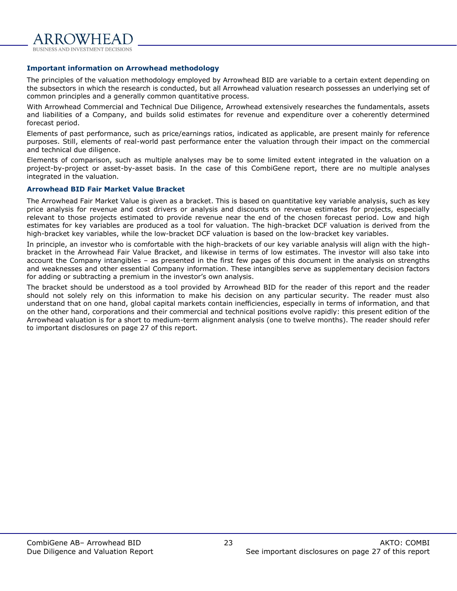

#### **Important information on Arrowhead methodology**

The principles of the valuation methodology employed by Arrowhead BID are variable to a certain extent depending on the subsectors in which the research is conducted, but all Arrowhead valuation research possesses an underlying set of common principles and a generally common quantitative process.

With Arrowhead Commercial and Technical Due Diligence, Arrowhead extensively researches the fundamentals, assets and liabilities of a Company, and builds solid estimates for revenue and expenditure over a coherently determined forecast period.

Elements of past performance, such as price/earnings ratios, indicated as applicable, are present mainly for reference purposes. Still, elements of real-world past performance enter the valuation through their impact on the commercial and technical due diligence.

Elements of comparison, such as multiple analyses may be to some limited extent integrated in the valuation on a project-by-project or asset-by-asset basis. In the case of this CombiGene report, there are no multiple analyses integrated in the valuation.

#### **Arrowhead BID Fair Market Value Bracket**

The Arrowhead Fair Market Value is given as a bracket. This is based on quantitative key variable analysis, such as key price analysis for revenue and cost drivers or analysis and discounts on revenue estimates for projects, especially relevant to those projects estimated to provide revenue near the end of the chosen forecast period. Low and high estimates for key variables are produced as a tool for valuation. The high-bracket DCF valuation is derived from the high-bracket key variables, while the low-bracket DCF valuation is based on the low-bracket key variables.

In principle, an investor who is comfortable with the high-brackets of our key variable analysis will align with the highbracket in the Arrowhead Fair Value Bracket, and likewise in terms of low estimates. The investor will also take into account the Company intangibles – as presented in the first few pages of this document in the analysis on strengths and weaknesses and other essential Company information. These intangibles serve as supplementary decision factors for adding or subtracting a premium in the investor's own analysis.

The bracket should be understood as a tool provided by Arrowhead BID for the reader of this report and the reader should not solely rely on this information to make his decision on any particular security. The reader must also understand that on one hand, global capital markets contain inefficiencies, especially in terms of information, and that on the other hand, corporations and their commercial and technical positions evolve rapidly: this present edition of the Arrowhead valuation is for a short to medium-term alignment analysis (one to twelve months). The reader should refer to important disclosures on page 27 of this report.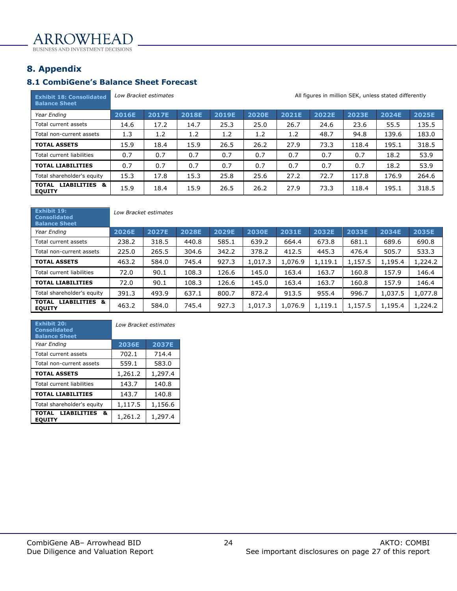ARROWHEAI BUSINESS AND INVESTMENT DECISIONS

<span id="page-23-0"></span>**8. Appendix**

# <span id="page-23-1"></span>**8.1 CombiGene's Balance Sheet Forecast**

| <b>Exhibit 18: Consolidated</b><br><b>Balance Sheet</b> | All figures in million SEK, unless stated differently<br>Low Bracket estimates |              |              |       |              |       |       |       |       |              |  |
|---------------------------------------------------------|--------------------------------------------------------------------------------|--------------|--------------|-------|--------------|-------|-------|-------|-------|--------------|--|
| Year Ending                                             | 2016E                                                                          | <b>2017E</b> | <b>2018E</b> | 2019E | <b>2020E</b> | 2021E | 2022E | 2023E | 2024E | <b>2025E</b> |  |
| Total current assets                                    | 14.6                                                                           | 17.2         | 14.7         | 25.3  | 25.0         | 26.7  | 24.6  | 23.6  | 55.5  | 135.5        |  |
| Total non-current assets                                | 1.3                                                                            | 1.2          | 1.2          | 1.2   | 1.2          | 1.2   | 48.7  | 94.8  | 139.6 | 183.0        |  |
| <b>TOTAL ASSETS</b>                                     | 15.9                                                                           | 18.4         | 15.9         | 26.5  | 26.2         | 27.9  | 73.3  | 118.4 | 195.1 | 318.5        |  |
| Total current liabilities                               | 0.7                                                                            | 0.7          | 0.7          | 0.7   | 0.7          | 0.7   | 0.7   | 0.7   | 18.2  | 53.9         |  |
| <b>TOTAL LIABILITIES</b>                                | 0.7                                                                            | 0.7          | 0.7          | 0.7   | 0.7          | 0.7   | 0.7   | 0.7   | 18.2  | 53.9         |  |
| Total shareholder's equity                              | 15.3                                                                           | 17.8         | 15.3         | 25.8  | 25.6         | 27.2  | 72.7  | 117.8 | 176.9 | 264.6        |  |
| LIABILITIES &<br><b>TOTAL</b><br><b>EQUITY</b>          | 15.9                                                                           | 18.4         | 15.9         | 26.5  | 26.2         | 27.9  | 73.3  | 118.4 | 195.1 | 318.5        |  |

| Exhibit 19:<br><b>Consolidated</b><br><b>Balance Sheet</b> | Low Bracket estimates |       |       |       |         |         |         |         |         |         |  |  |  |
|------------------------------------------------------------|-----------------------|-------|-------|-------|---------|---------|---------|---------|---------|---------|--|--|--|
| Year Ending                                                | 2026E                 | 2027E | 2028E | 2029E | 2030E   | 2031E   | 2032E   | 2033E   | 2034E   | 2035E   |  |  |  |
| Total current assets                                       | 238.2                 | 318.5 | 440.8 | 585.1 | 639.2   | 664.4   | 673.8   | 681.1   | 689.6   | 690.8   |  |  |  |
| Total non-current assets                                   | 225.0                 | 265.5 | 304.6 | 342.2 | 378.2   | 412.5   | 445.3   | 476.4   | 505.7   | 533.3   |  |  |  |
| <b>TOTAL ASSETS</b>                                        | 463.2                 | 584.0 | 745.4 | 927.3 | 1,017.3 | 1,076.9 | 1,119.1 | 1,157.5 | 1,195.4 | 1,224.2 |  |  |  |
| Total current liabilities                                  | 72.0                  | 90.1  | 108.3 | 126.6 | 145.0   | 163.4   | 163.7   | 160.8   | 157.9   | 146.4   |  |  |  |
| <b>TOTAL LIABILITIES</b>                                   | 72.0                  | 90.1  | 108.3 | 126.6 | 145.0   | 163.4   | 163.7   | 160.8   | 157.9   | 146.4   |  |  |  |
| Total shareholder's equity                                 | 391.3                 | 493.9 | 637.1 | 800.7 | 872.4   | 913.5   | 955.4   | 996.7   | 1,037.5 | 1,077.8 |  |  |  |
| LIABILITIES &<br><b>TOTAL</b><br><b>EQUITY</b>             | 463.2                 | 584.0 | 745.4 | 927.3 | 1,017.3 | 1,076.9 | 1,119.1 | 1,157.5 | 1,195.4 | 1,224.2 |  |  |  |

| <b>Exhibit 20:</b><br><b>Consolidated</b><br><b>Balance Sheet</b> | <b>Low Bracket estimates</b> |              |  |  |  |  |
|-------------------------------------------------------------------|------------------------------|--------------|--|--|--|--|
| Year Ending                                                       | 2036E                        | <b>2037E</b> |  |  |  |  |
| Total current assets                                              | 702.1                        | 714.4        |  |  |  |  |
| Total non-current assets                                          | 559.1                        | 583.0        |  |  |  |  |
| <b>TOTAL ASSETS</b>                                               | 1,261.2                      | 1,297.4      |  |  |  |  |
| Total current liabilities                                         | 143.7                        | 140.8        |  |  |  |  |
| <b>TOTAL LIABILITIES</b>                                          | 143.7                        | 140.8        |  |  |  |  |
| Total shareholder's equity                                        | 1,117.5                      | 1,156.6      |  |  |  |  |
| <b>TOTAL</b><br><b>LIABILITIES</b><br>&<br><b>EQUITY</b>          | 1,261.2                      | 1,297.4      |  |  |  |  |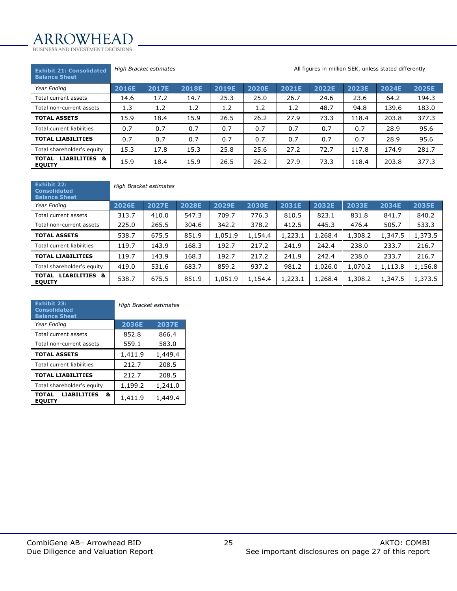# ARROWHEAI

BUSINESS AND INVESTMENT DECISIONS

#### **Exhibit 21: Consolidated**

*High Bracket estimates* **All figures in million SEK, unless stated differently All figures in million SEK, unless stated differently** 

| <b>Balance Sheet</b>                           |              |       |              |       |              |       |       |       |       |       |
|------------------------------------------------|--------------|-------|--------------|-------|--------------|-------|-------|-------|-------|-------|
| Year Ending                                    | <b>2016E</b> | 2017E | <b>2018E</b> | 2019E | <b>2020E</b> | 2021E | 2022E | 2023E | 2024E | 2025E |
| Total current assets                           | 14.6         | 17.2  | 14.7         | 25.3  | 25.0         | 26.7  | 24.6  | 23.6  | 64.2  | 194.3 |
| Total non-current assets                       | 1.3          | 1.2   | 1.2          | 1.2   | 1.2          | 1.2   | 48.7  | 94.8  | 139.6 | 183.0 |
| <b>TOTAL ASSETS</b>                            | 15.9         | 18.4  | 15.9         | 26.5  | 26.2         | 27.9  | 73.3  | 118.4 | 203.8 | 377.3 |
| Total current liabilities                      | 0.7          | 0.7   | 0.7          | 0.7   | 0.7          | 0.7   | 0.7   | 0.7   | 28.9  | 95.6  |
| <b>TOTAL LIABILITIES</b>                       | 0.7          | 0.7   | 0.7          | 0.7   | 0.7          | 0.7   | 0.7   | 0.7   | 28.9  | 95.6  |
| Total shareholder's equity                     | 15.3         | 17.8  | 15.3         | 25.8  | 25.6         | 27.2  | 72.7  | 117.8 | 174.9 | 281.7 |
| LIABILITIES &<br><b>TOTAL</b><br><b>EQUITY</b> | 15.9         | 18.4  | 15.9         | 26.5  | 26.2         | 27.9  | 73.3  | 118.4 | 203.8 | 377.3 |

| <b>Exhibit 22:</b><br><b>Consolidated</b><br><b>Balance Sheet</b> | High Bracket estimates |       |       |         |         |         |         |         |         |         |  |  |  |
|-------------------------------------------------------------------|------------------------|-------|-------|---------|---------|---------|---------|---------|---------|---------|--|--|--|
| Year Ending                                                       | 2026E                  | 2027E | 2028E | 2029E   | 2030E   | 2031E   | 2032E   | 2033E   | 2034E   | 2035E   |  |  |  |
| Total current assets                                              | 313.7                  | 410.0 | 547.3 | 709.7   | 776.3   | 810.5   | 823.1   | 831.8   | 841.7   | 840.2   |  |  |  |
| Total non-current assets                                          | 225.0                  | 265.5 | 304.6 | 342.2   | 378.2   | 412.5   | 445.3   | 476.4   | 505.7   | 533.3   |  |  |  |
| <b>TOTAL ASSETS</b>                                               | 538.7                  | 675.5 | 851.9 | 1,051.9 | 1,154.4 | 1,223.1 | 1,268.4 | 1,308.2 | 1,347.5 | 1,373.5 |  |  |  |
| Total current liabilities                                         | 119.7                  | 143.9 | 168.3 | 192.7   | 217.2   | 241.9   | 242.4   | 238.0   | 233.7   | 216.7   |  |  |  |
| <b>TOTAL LIABILITIES</b>                                          | 119.7                  | 143.9 | 168.3 | 192.7   | 217.2   | 241.9   | 242.4   | 238.0   | 233.7   | 216.7   |  |  |  |
| Total shareholder's equity                                        | 419.0                  | 531.6 | 683.7 | 859.2   | 937.2   | 981.2   | 1,026.0 | 1,070.2 | 1,113.8 | 1,156.8 |  |  |  |
| LIABILITIES &<br><b>TOTAL</b><br><b>EQUITY</b>                    | 538.7                  | 675.5 | 851.9 | 1,051.9 | 1,154.4 | 1,223.1 | 1,268.4 | 1,308.2 | 1,347.5 | 1,373.5 |  |  |  |

| <b>Exhibit 23:</b><br><b>Consolidated</b><br><b>Balance Sheet</b> | High Bracket estimates |              |  |  |  |
|-------------------------------------------------------------------|------------------------|--------------|--|--|--|
| Year Ending                                                       | 2036E                  | <b>2037E</b> |  |  |  |
| Total current assets                                              | 852.8                  | 866.4        |  |  |  |
| Total non-current assets                                          | 559.1                  | 583.0        |  |  |  |
| <b>TOTAL ASSETS</b>                                               | 1,411.9                | 1,449.4      |  |  |  |
| Total current liabilities                                         | 212.7                  | 208.5        |  |  |  |
| <b>TOTAL LIABILITIES</b>                                          | 212.7                  | 208.5        |  |  |  |
| Total shareholder's equity                                        | 1,199.2                | 1,241.0      |  |  |  |
| <b>TOTAL</b><br><b>LIABILITIES</b><br>&<br><b>EQUITY</b>          | 1,411.9                | 1,449.4      |  |  |  |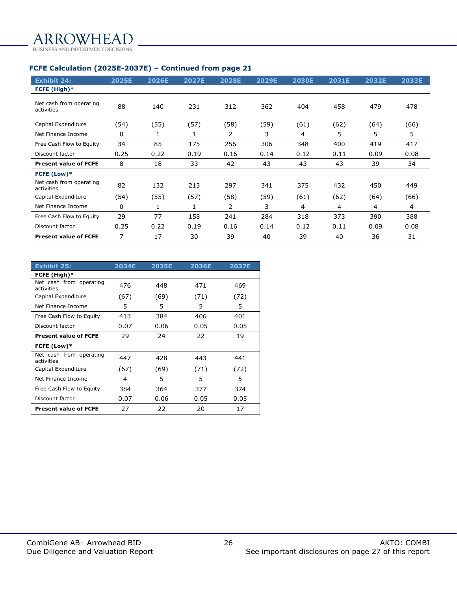## **FCFE Calculation (2025E-2037E) – Continued from page 21**

| <b>Exhibit 24:</b>                    | 2025E | 2026E | <b>2027E</b> | <b>2028E</b> | 2029E | <b>2030E</b> | 2031E | 2032E | 2033E |
|---------------------------------------|-------|-------|--------------|--------------|-------|--------------|-------|-------|-------|
| FCFE (High)*                          |       |       |              |              |       |              |       |       |       |
| Net cash from operating<br>activities | 88    | 140   | 231          | 312          | 362   | 404          | 458   | 479   | 478   |
| Capital Expenditure                   | (54)  | (55)  | (57)         | (58)         | (59)  | (61)         | (62)  | (64)  | (66)  |
| Net Finance Income                    | 0     |       | T            | 2            | 3     | 4            | 5     | 5     | 5     |
| Free Cash Flow to Equity              | 34    | 85    | 175          | 256          | 306   | 348          | 400   | 419   | 417   |
| Discount factor                       | 0.25  | 0.22  | 0.19         | 0.16         | 0.14  | 0.12         | 0.11  | 0.09  | 0.08  |
| <b>Present value of FCFE</b>          | 8     | 18    | 33           | 42           | 43    | 43           | 43    | 39    | 34    |
| FCFE (Low)*                           |       |       |              |              |       |              |       |       |       |
| Net cash from operating<br>activities | 82    | 132   | 213          | 297          | 341   | 375          | 432   | 450   | 449   |
| Capital Expenditure                   | (54)  | (55)  | (57)         | (58)         | (59)  | (61)         | (62)  | (64)  | (66)  |
| Net Finance Income                    | 0     | 1     | 1            | 2            | 3     | 4            | 4     | 4     | 4     |
| Free Cash Flow to Equity              | 29    | 77    | 158          | 241          | 284   | 318          | 373   | 390   | 388   |
| Discount factor                       | 0.25  | 0.22  | 0.19         | 0.16         | 0.14  | 0.12         | 0.11  | 0.09  | 0.08  |
| <b>Present value of FCFE</b>          | 7     | 17    | 30           | 39           | 40    | 39           | 40    | 36    | 31    |

| Exhibit 25:                           | 2034E | <b>2035E</b> | <b>2036E</b> | <b>2037E</b> |
|---------------------------------------|-------|--------------|--------------|--------------|
| FCFE (High)*                          |       |              |              |              |
| Net cash from operating<br>activities | 476   | 448          | 471          | 469          |
| Capital Expenditure                   | (67)  | (69)         | (71)         | (72)         |
| Net Finance Income                    | 5     | 5            | 5            | 5            |
| Free Cash Flow to Equity              | 413   | 384          | 406          | 401          |
| Discount factor                       | 0.07  | 0.06         | 0.05         | 0.05         |
| <b>Present value of FCFE</b>          | 29    | 24           | 22           | 19           |
| FCFE (Low)*                           |       |              |              |              |
| Net cash from operating<br>activities | 447   | 428          | 443          | 441          |
| Capital Expenditure                   | (67)  | (69)         | (71)         | (72)         |
| Net Finance Income                    | 4     | 5            | 5            | 5            |
| Free Cash Flow to Equity              | 384   | 364          | 377          | 374          |
| Discount factor                       | 0.07  | 0.06         | 0.05         | 0.05         |
| <b>Present value of FCFE</b>          | 27    | 22           | 20           | 17           |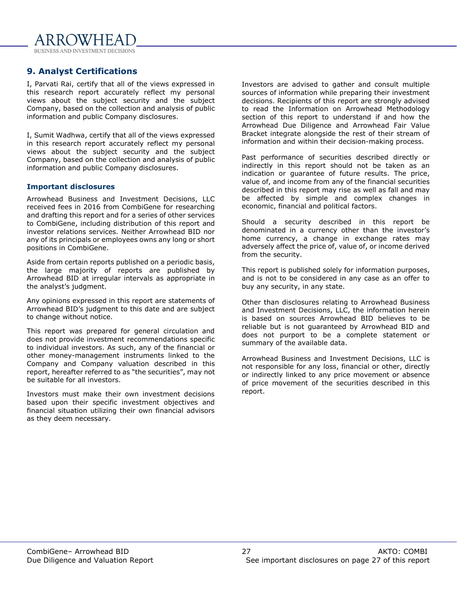RROWHEA BUSINESS AND INVESTMENT DECISIONS

# <span id="page-26-0"></span>**9. Analyst Certifications**

I, Parvati Rai, certify that all of the views expressed in this research report accurately reflect my personal views about the subject security and the subject Company, based on the collection and analysis of public information and public Company disclosures.

I, Sumit Wadhwa, certify that all of the views expressed in this research report accurately reflect my personal views about the subject security and the subject Company, based on the collection and analysis of public information and public Company disclosures.

#### **Important disclosures**

Arrowhead Business and Investment Decisions, LLC received fees in 2016 from CombiGene for researching and drafting this report and for a series of other services to CombiGene, including distribution of this report and investor relations services. Neither Arrowhead BID nor any of its principals or employees owns any long or short positions in CombiGene.

Aside from certain reports published on a periodic basis, the large majority of reports are published by Arrowhead BID at irregular intervals as appropriate in the analyst's judgment.

Any opinions expressed in this report are statements of Arrowhead BID's judgment to this date and are subject to change without notice.

This report was prepared for general circulation and does not provide investment recommendations specific to individual investors. As such, any of the financial or other money-management instruments linked to the Company and Company valuation described in this report, hereafter referred to as "the securities", may not be suitable for all investors.

Investors must make their own investment decisions based upon their specific investment objectives and financial situation utilizing their own financial advisors as they deem necessary.

Investors are advised to gather and consult multiple sources of information while preparing their investment decisions. Recipients of this report are strongly advised to read the Information on Arrowhead Methodology section of this report to understand if and how the Arrowhead Due Diligence and Arrowhead Fair Value Bracket integrate alongside the rest of their stream of information and within their decision-making process.

Past performance of securities described directly or indirectly in this report should not be taken as an indication or guarantee of future results. The price, value of, and income from any of the financial securities described in this report may rise as well as fall and may be affected by simple and complex changes in economic, financial and political factors.

Should a security described in this report be denominated in a currency other than the investor's home currency, a change in exchange rates may adversely affect the price of, value of, or income derived from the security.

This report is published solely for information purposes, and is not to be considered in any case as an offer to buy any security, in any state.

Other than disclosures relating to Arrowhead Business and Investment Decisions, LLC, the information herein is based on sources Arrowhead BID believes to be reliable but is not guaranteed by Arrowhead BID and does not purport to be a complete statement or summary of the available data.

Arrowhead Business and Investment Decisions, LLC is not responsible for any loss, financial or other, directly or indirectly linked to any price movement or absence of price movement of the securities described in this report.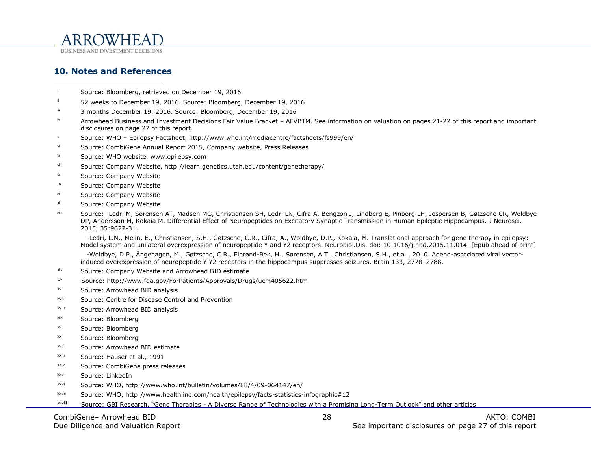

**10. Notes and References**

- <sup>i</sup> Source: Bloomberg, retrieved on December 19, 2016
- ii 52 weeks to December 19, 2016. Source: Bloomberg, December 19, 2016
- ii 3 months December 19, 2016. Source: Bloomberg, December 19, 2016
- <sup>iv</sup> Arrowhead Business and Investment Decisions Fair Value Bracket AFVBTM. See information on valuation on pages 21-22 of this report and important disclosures on page 27 of this report.
- <sup>v</sup> Source: WHO Epilepsy Factsheet. http://www.who.int/mediacentre/factsheets/fs999/en/
- vi Source: CombiGene Annual Report 2015, Company website, Press Releases
- vii Source: WHO website, www.epilepsy.com
- viii Source: Company Website, http://learn.genetics.utah.edu/content/genetherapy/
- ix Source: Company Website
- <sup>x</sup> Source: Company Website
- xi Source: Company Website
- <span id="page-27-0"></span>xii Source: Company Website
- xiii Source: -Ledri M, Sørensen AT, Madsen MG, Christiansen SH, Ledri LN, Cifra A, Bengzon J, Lindberg E, Pinborg LH, Jespersen B, Gøtzsche CR, Woldbye DP, Andersson M, Kokaia M. Differential Effect of Neuropeptides on Excitatory Synaptic Transmission in Human Epileptic Hippocampus. J Neurosci. 2015, 35:9622-31.

 -Ledri, L.N., Melin, E., Christiansen, S.H., Gøtzsche, C.R., Cifra, A., Woldbye, D.P., Kokaia, M. Translational approach for gene therapy in epilepsy: Model system and unilateral overexpression of neuropeptide Y and Y2 receptors. Neurobiol.Dis. doi: 10.1016/j.nbd.2015.11.014. [Epub ahead of print]

 -Woldbye, D.P., Ängehagen, M., Gøtzsche, C.R., Elbrønd-Bek, H., Sørensen, A.T., Christiansen, S.H., et al., 2010. Adeno-associated viral vectorinduced overexpression of neuropeptide Y Y2 receptors in the hippocampus suppresses seizures. Brain 133, 2778–2788.

- xiv Source: Company Website and Arrowhead BID estimate
- xv Source: http://www.fda.gov/ForPatients/Approvals/Drugs/ucm405622.htm
- xvi Source: Arrowhead BID analysis
- xvii Source: Centre for Disease Control and Prevention
- xviii Source: Arrowhead BID analysis
- xix Source: Bloomberg
- xx Source: Bloomberg
- xxi Source: Bloomberg
- xxii Source: Arrowhead BID estimate
- xxiii Source: Hauser et al., 1991
- xxiv Source: CombiGene press releases
- xxv Source: LinkedIn
- xxvi Source: WHO, http://www.who.int/bulletin/volumes/88/4/09-064147/en/
- xxvii Source: WHO, http://www.healthline.com/health/epilepsy/facts-statistics-infographic#12
- xxviii Source: GBI Research, "Gene Therapies - A Diverse Range of Technologies with a Promising Long-Term Outlook" and other articles